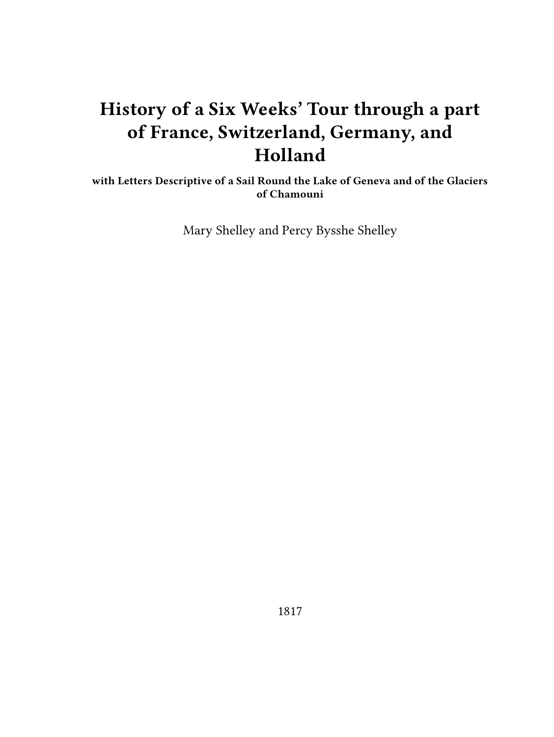# **History of a Six Weeks' Tour through a part of France, Switzerland, Germany, and Holland**

**with Letters Descriptive of a Sail Round the Lake of Geneva and of the Glaciers of Chamouni**

Mary Shelley and Percy Bysshe Shelley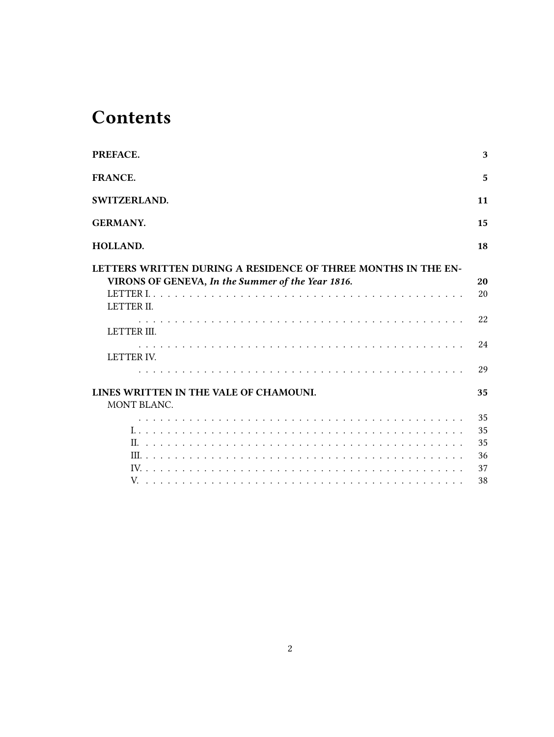# **Contents**

| PREFACE.                                                                                                                            | 3        |
|-------------------------------------------------------------------------------------------------------------------------------------|----------|
| <b>FRANCE.</b>                                                                                                                      | 5        |
| SWITZERLAND.                                                                                                                        | 11       |
| <b>GERMANY.</b>                                                                                                                     | 15       |
| HOLLAND.                                                                                                                            | 18       |
| LETTERS WRITTEN DURING A RESIDENCE OF THREE MONTHS IN THE EN-<br>VIRONS OF GENEVA, In the Summer of the Year 1816.                  | 20<br>20 |
| LETTER II.                                                                                                                          |          |
| LETTER III.                                                                                                                         | 22       |
| <u>. A provincia de la califacta de la califacta de la califacta de la califacta de la califacta de la califacta </u><br>LETTER IV. | 24       |
|                                                                                                                                     | 29       |
| LINES WRITTEN IN THE VALE OF CHAMOUNI.<br>MONT BLANC.                                                                               | 35       |
|                                                                                                                                     | 35       |
|                                                                                                                                     | 35       |
|                                                                                                                                     | 35       |
|                                                                                                                                     | 36       |
|                                                                                                                                     | 37       |
|                                                                                                                                     | 38       |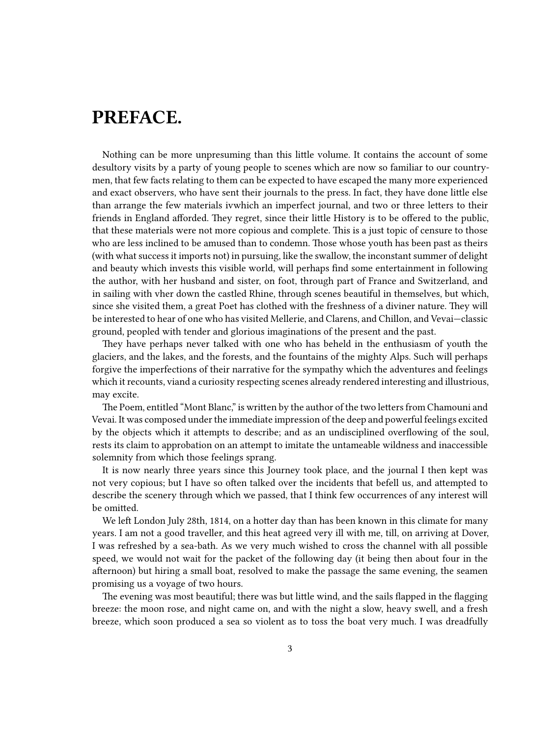## <span id="page-2-0"></span>**PREFACE.**

Nothing can be more unpresuming than this little volume. It contains the account of some desultory visits by a party of young people to scenes which are now so familiar to our countrymen, that few facts relating to them can be expected to have escaped the many more experienced and exact observers, who have sent their journals to the press. In fact, they have done little else than arrange the few materials ivwhich an imperfect journal, and two or three letters to their friends in England afforded. They regret, since their little History is to be offered to the public, that these materials were not more copious and complete. This is a just topic of censure to those who are less inclined to be amused than to condemn. Those whose youth has been past as theirs (with what success it imports not) in pursuing, like the swallow, the inconstant summer of delight and beauty which invests this visible world, will perhaps find some entertainment in following the author, with her husband and sister, on foot, through part of France and Switzerland, and in sailing with vher down the castled Rhine, through scenes beautiful in themselves, but which, since she visited them, a great Poet has clothed with the freshness of a diviner nature. They will be interested to hear of one who has visited Mellerie, and Clarens, and Chillon, and Vevai—classic ground, peopled with tender and glorious imaginations of the present and the past.

They have perhaps never talked with one who has beheld in the enthusiasm of youth the glaciers, and the lakes, and the forests, and the fountains of the mighty Alps. Such will perhaps forgive the imperfections of their narrative for the sympathy which the adventures and feelings which it recounts, viand a curiosity respecting scenes already rendered interesting and illustrious, may excite.

The Poem, entitled "Mont Blanc," is written by the author of the two letters from Chamouni and Vevai. It was composed under the immediate impression of the deep and powerful feelings excited by the objects which it attempts to describe; and as an undisciplined overflowing of the soul, rests its claim to approbation on an attempt to imitate the untameable wildness and inaccessible solemnity from which those feelings sprang.

It is now nearly three years since this Journey took place, and the journal I then kept was not very copious; but I have so often talked over the incidents that befell us, and attempted to describe the scenery through which we passed, that I think few occurrences of any interest will be omitted.

We left London July 28th, 1814, on a hotter day than has been known in this climate for many years. I am not a good traveller, and this heat agreed very ill with me, till, on arriving at Dover, I was refreshed by a sea-bath. As we very much wished to cross the channel with all possible speed, we would not wait for the packet of the following day (it being then about four in the afternoon) but hiring a small boat, resolved to make the passage the same evening, the seamen promising us a voyage of two hours.

The evening was most beautiful; there was but little wind, and the sails flapped in the flagging breeze: the moon rose, and night came on, and with the night a slow, heavy swell, and a fresh breeze, which soon produced a sea so violent as to toss the boat very much. I was dreadfully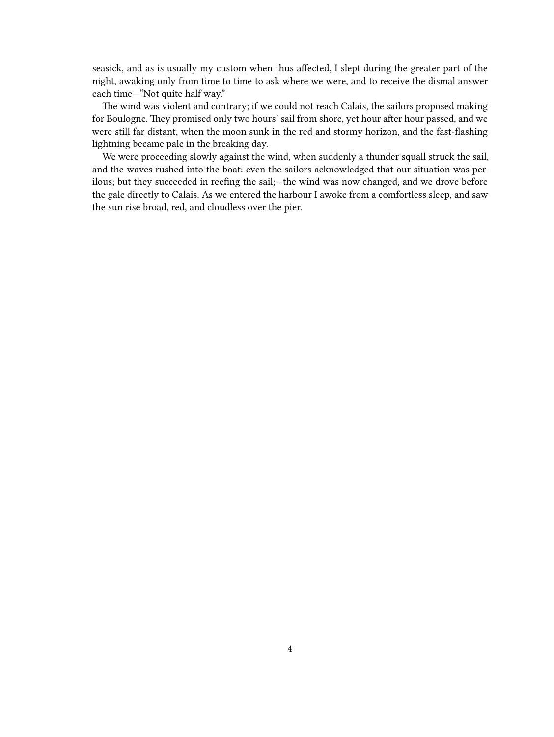seasick, and as is usually my custom when thus affected, I slept during the greater part of the night, awaking only from time to time to ask where we were, and to receive the dismal answer each time—"Not quite half way."

The wind was violent and contrary; if we could not reach Calais, the sailors proposed making for Boulogne. They promised only two hours' sail from shore, yet hour after hour passed, and we were still far distant, when the moon sunk in the red and stormy horizon, and the fast-flashing lightning became pale in the breaking day.

We were proceeding slowly against the wind, when suddenly a thunder squall struck the sail, and the waves rushed into the boat: even the sailors acknowledged that our situation was perilous; but they succeeded in reefing the sail;—the wind was now changed, and we drove before the gale directly to Calais. As we entered the harbour I awoke from a comfortless sleep, and saw the sun rise broad, red, and cloudless over the pier.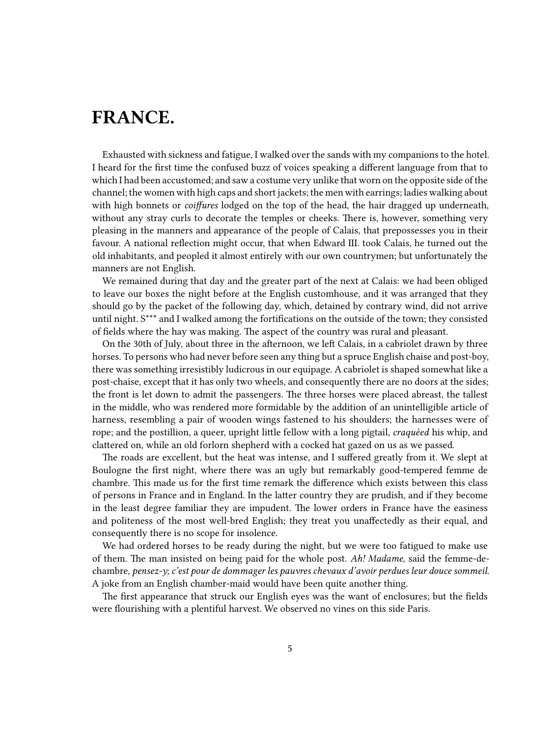## <span id="page-4-0"></span>**FRANCE.**

Exhausted with sickness and fatigue, I walked over the sands with my companions to the hotel. I heard for the first time the confused buzz of voices speaking a different language from that to which I had been accustomed; and saw a costume very unlike that worn on the opposite side of the channel; the women with high caps and short jackets; the men with earrings; ladies walking about with high bonnets or *coiffures* lodged on the top of the head, the hair dragged up underneath, without any stray curls to decorate the temples or cheeks. There is, however, something very pleasing in the manners and appearance of the people of Calais, that prepossesses you in their favour. A national reflection might occur, that when Edward III. took Calais, he turned out the old inhabitants, and peopled it almost entirely with our own countrymen; but unfortunately the manners are not English.

We remained during that day and the greater part of the next at Calais: we had been obliged to leave our boxes the night before at the English customhouse, and it was arranged that they should go by the packet of the following day, which, detained by contrary wind, did not arrive until night. S\*\*\* and I walked among the fortifications on the outside of the town; they consisted of fields where the hay was making. The aspect of the country was rural and pleasant.

On the 30th of July, about three in the afternoon, we left Calais, in a cabriolet drawn by three horses. To persons who had never before seen any thing but a spruce English chaise and post-boy, there was something irresistibly ludicrous in our equipage. A cabriolet is shaped somewhat like a post-chaise, except that it has only two wheels, and consequently there are no doors at the sides; the front is let down to admit the passengers. The three horses were placed abreast, the tallest in the middle, who was rendered more formidable by the addition of an unintelligible article of harness, resembling a pair of wooden wings fastened to his shoulders; the harnesses were of rope; and the postillion, a queer, upright little fellow with a long pigtail, *craquèed* his whip, and clattered on, while an old forlorn shepherd with a cocked hat gazed on us as we passed.

The roads are excellent, but the heat was intense, and I suffered greatly from it. We slept at Boulogne the first night, where there was an ugly but remarkably good-tempered femme de chambre. This made us for the first time remark the difference which exists between this class of persons in France and in England. In the latter country they are prudish, and if they become in the least degree familiar they are impudent. The lower orders in France have the easiness and politeness of the most well-bred English; they treat you unaffectedly as their equal, and consequently there is no scope for insolence.

We had ordered horses to be ready during the night, but we were too fatigued to make use of them. The man insisted on being paid for the whole post. *Ah! Madame*, said the femme-dechambre, *pensez-y; c'est pour de dommager les pauvres chevaux d'avoir perdues leur douce sommeil*. A joke from an English chamber-maid would have been quite another thing.

The first appearance that struck our English eyes was the want of enclosures; but the fields were flourishing with a plentiful harvest. We observed no vines on this side Paris.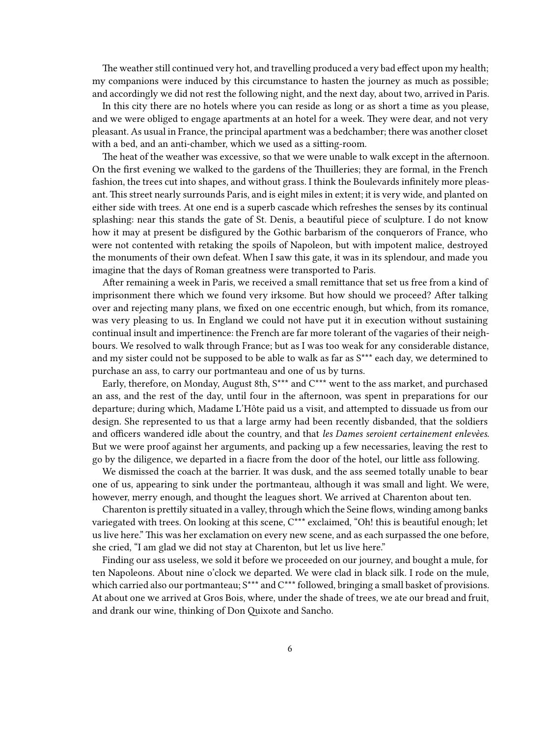The weather still continued very hot, and travelling produced a very bad effect upon my health; my companions were induced by this circumstance to hasten the journey as much as possible; and accordingly we did not rest the following night, and the next day, about two, arrived in Paris.

In this city there are no hotels where you can reside as long or as short a time as you please, and we were obliged to engage apartments at an hotel for a week. They were dear, and not very pleasant. As usual in France, the principal apartment was a bedchamber; there was another closet with a bed, and an anti-chamber, which we used as a sitting-room.

The heat of the weather was excessive, so that we were unable to walk except in the afternoon. On the first evening we walked to the gardens of the Thuilleries; they are formal, in the French fashion, the trees cut into shapes, and without grass. I think the Boulevards infinitely more pleasant. This street nearly surrounds Paris, and is eight miles in extent; it is very wide, and planted on either side with trees. At one end is a superb cascade which refreshes the senses by its continual splashing: near this stands the gate of St. Denis, a beautiful piece of sculpture. I do not know how it may at present be disfigured by the Gothic barbarism of the conquerors of France, who were not contented with retaking the spoils of Napoleon, but with impotent malice, destroyed the monuments of their own defeat. When I saw this gate, it was in its splendour, and made you imagine that the days of Roman greatness were transported to Paris.

After remaining a week in Paris, we received a small remittance that set us free from a kind of imprisonment there which we found very irksome. But how should we proceed? After talking over and rejecting many plans, we fixed on one eccentric enough, but which, from its romance, was very pleasing to us. In England we could not have put it in execution without sustaining continual insult and impertinence: the French are far more tolerant of the vagaries of their neighbours. We resolved to walk through France; but as I was too weak for any considerable distance, and my sister could not be supposed to be able to walk as far as S\*\*\* each day, we determined to purchase an ass, to carry our portmanteau and one of us by turns.

Early, therefore, on Monday, August 8th, S\*\*\* and C\*\*\* went to the ass market, and purchased an ass, and the rest of the day, until four in the afternoon, was spent in preparations for our departure; during which, Madame L'Hôte paid us a visit, and attempted to dissuade us from our design. She represented to us that a large army had been recently disbanded, that the soldiers and officers wandered idle about the country, and that *les Dames seroient certainement enlevèes*. But we were proof against her arguments, and packing up a few necessaries, leaving the rest to go by the diligence, we departed in a fiacre from the door of the hotel, our little ass following.

We dismissed the coach at the barrier. It was dusk, and the ass seemed totally unable to bear one of us, appearing to sink under the portmanteau, although it was small and light. We were, however, merry enough, and thought the leagues short. We arrived at Charenton about ten.

Charenton is prettily situated in a valley, through which the Seine flows, winding among banks variegated with trees. On looking at this scene, C<sup>\*\*\*</sup> exclaimed, "Oh! this is beautiful enough; let us live here." This was her exclamation on every new scene, and as each surpassed the one before, she cried, "I am glad we did not stay at Charenton, but let us live here."

Finding our ass useless, we sold it before we proceeded on our journey, and bought a mule, for ten Napoleons. About nine o'clock we departed. We were clad in black silk. I rode on the mule, which carried also our portmanteau;  $S^{***}$  and  $C^{***}$  followed, bringing a small basket of provisions. At about one we arrived at Gros Bois, where, under the shade of trees, we ate our bread and fruit, and drank our wine, thinking of Don Quixote and Sancho.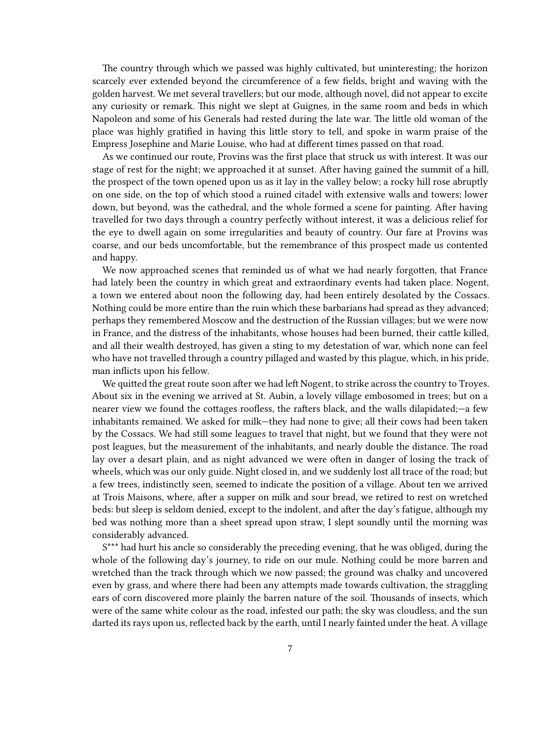The country through which we passed was highly cultivated, but uninteresting; the horizon scarcely ever extended beyond the circumference of a few fields, bright and waving with the golden harvest. We met several travellers; but our mode, although novel, did not appear to excite any curiosity or remark. This night we slept at Guignes, in the same room and beds in which Napoleon and some of his Generals had rested during the late war. The little old woman of the place was highly gratified in having this little story to tell, and spoke in warm praise of the Empress Josephine and Marie Louise, who had at different times passed on that road.

As we continued our route, Provins was the first place that struck us with interest. It was our stage of rest for the night; we approached it at sunset. After having gained the summit of a hill, the prospect of the town opened upon us as it lay in the valley below; a rocky hill rose abruptly on one side, on the top of which stood a ruined citadel with extensive walls and towers; lower down, but beyond, was the cathedral, and the whole formed a scene for painting. After having travelled for two days through a country perfectly without interest, it was a delicious relief for the eye to dwell again on some irregularities and beauty of country. Our fare at Provins was coarse, and our beds uncomfortable, but the remembrance of this prospect made us contented and happy.

We now approached scenes that reminded us of what we had nearly forgotten, that France had lately been the country in which great and extraordinary events had taken place. Nogent, a town we entered about noon the following day, had been entirely desolated by the Cossacs. Nothing could be more entire than the ruin which these barbarians had spread as they advanced; perhaps they remembered Moscow and the destruction of the Russian villages; but we were now in France, and the distress of the inhabitants, whose houses had been burned, their cattle killed, and all their wealth destroyed, has given a sting to my detestation of war, which none can feel who have not travelled through a country pillaged and wasted by this plague, which, in his pride, man inflicts upon his fellow.

We quitted the great route soon after we had left Nogent, to strike across the country to Troyes. About six in the evening we arrived at St. Aubin, a lovely village embosomed in trees; but on a nearer view we found the cottages roofless, the rafters black, and the walls dilapidated;—a few inhabitants remained. We asked for milk—they had none to give; all their cows had been taken by the Cossacs. We had still some leagues to travel that night, but we found that they were not post leagues, but the measurement of the inhabitants, and nearly double the distance. The road lay over a desart plain, and as night advanced we were often in danger of losing the track of wheels, which was our only guide. Night closed in, and we suddenly lost all trace of the road; but a few trees, indistinctly seen, seemed to indicate the position of a village. About ten we arrived at Trois Maisons, where, after a supper on milk and sour bread, we retired to rest on wretched beds: but sleep is seldom denied, except to the indolent, and after the day's fatigue, although my bed was nothing more than a sheet spread upon straw, I slept soundly until the morning was considerably advanced.

S\*\*\* had hurt his ancle so considerably the preceding evening, that he was obliged, during the whole of the following day's journey, to ride on our mule. Nothing could be more barren and wretched than the track through which we now passed; the ground was chalky and uncovered even by grass, and where there had been any attempts made towards cultivation, the straggling ears of corn discovered more plainly the barren nature of the soil. Thousands of insects, which were of the same white colour as the road, infested our path; the sky was cloudless, and the sun darted its rays upon us, reflected back by the earth, until I nearly fainted under the heat. A village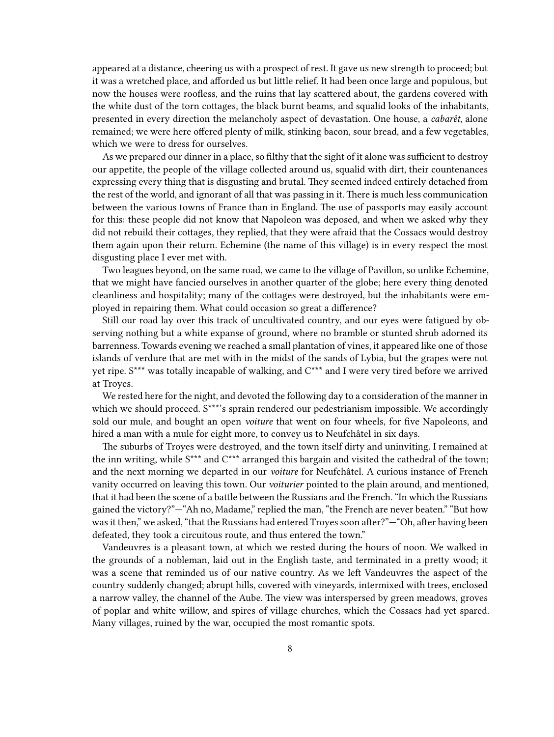appeared at a distance, cheering us with a prospect of rest. It gave us new strength to proceed; but it was a wretched place, and afforded us but little relief. It had been once large and populous, but now the houses were roofless, and the ruins that lay scattered about, the gardens covered with the white dust of the torn cottages, the black burnt beams, and squalid looks of the inhabitants, presented in every direction the melancholy aspect of devastation. One house, a *cabarêt*, alone remained; we were here offered plenty of milk, stinking bacon, sour bread, and a few vegetables, which we were to dress for ourselves.

As we prepared our dinner in a place, so filthy that the sight of it alone was sufficient to destroy our appetite, the people of the village collected around us, squalid with dirt, their countenances expressing every thing that is disgusting and brutal. They seemed indeed entirely detached from the rest of the world, and ignorant of all that was passing in it. There is much less communication between the various towns of France than in England. The use of passports may easily account for this: these people did not know that Napoleon was deposed, and when we asked why they did not rebuild their cottages, they replied, that they were afraid that the Cossacs would destroy them again upon their return. Echemine (the name of this village) is in every respect the most disgusting place I ever met with.

Two leagues beyond, on the same road, we came to the village of Pavillon, so unlike Echemine, that we might have fancied ourselves in another quarter of the globe; here every thing denoted cleanliness and hospitality; many of the cottages were destroyed, but the inhabitants were employed in repairing them. What could occasion so great a difference?

Still our road lay over this track of uncultivated country, and our eyes were fatigued by observing nothing but a white expanse of ground, where no bramble or stunted shrub adorned its barrenness. Towards evening we reached a small plantation of vines, it appeared like one of those islands of verdure that are met with in the midst of the sands of Lybia, but the grapes were not yet ripe. S\*\*\* was totally incapable of walking, and C\*\*\* and I were very tired before we arrived at Troyes.

We rested here for the night, and devoted the following day to a consideration of the manner in which we should proceed. S\*\*\*'s sprain rendered our pedestrianism impossible. We accordingly sold our mule, and bought an open *voiture* that went on four wheels, for five Napoleons, and hired a man with a mule for eight more, to convey us to Neufchâtel in six days.

The suburbs of Troyes were destroyed, and the town itself dirty and uninviting. I remained at the inn writing, while S\*\*\* and C\*\*\* arranged this bargain and visited the cathedral of the town; and the next morning we departed in our *voiture* for Neufchâtel. A curious instance of French vanity occurred on leaving this town. Our *voiturier* pointed to the plain around, and mentioned, that it had been the scene of a battle between the Russians and the French. "In which the Russians gained the victory?"—"Ah no, Madame," replied the man, "the French are never beaten." "But how was it then," we asked, "that the Russians had entered Troyes soon after?"—"Oh, after having been defeated, they took a circuitous route, and thus entered the town."

Vandeuvres is a pleasant town, at which we rested during the hours of noon. We walked in the grounds of a nobleman, laid out in the English taste, and terminated in a pretty wood; it was a scene that reminded us of our native country. As we left Vandeuvres the aspect of the country suddenly changed; abrupt hills, covered with vineyards, intermixed with trees, enclosed a narrow valley, the channel of the Aube. The view was interspersed by green meadows, groves of poplar and white willow, and spires of village churches, which the Cossacs had yet spared. Many villages, ruined by the war, occupied the most romantic spots.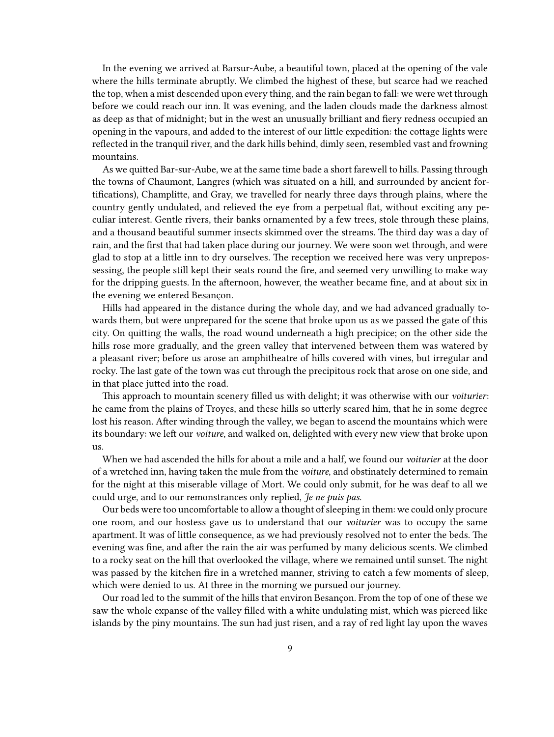In the evening we arrived at Barsur-Aube, a beautiful town, placed at the opening of the vale where the hills terminate abruptly. We climbed the highest of these, but scarce had we reached the top, when a mist descended upon every thing, and the rain began to fall: we were wet through before we could reach our inn. It was evening, and the laden clouds made the darkness almost as deep as that of midnight; but in the west an unusually brilliant and fiery redness occupied an opening in the vapours, and added to the interest of our little expedition: the cottage lights were reflected in the tranquil river, and the dark hills behind, dimly seen, resembled vast and frowning mountains.

As we quitted Bar-sur-Aube, we at the same time bade a short farewell to hills. Passing through the towns of Chaumont, Langres (which was situated on a hill, and surrounded by ancient fortifications), Champlitte, and Gray, we travelled for nearly three days through plains, where the country gently undulated, and relieved the eye from a perpetual flat, without exciting any peculiar interest. Gentle rivers, their banks ornamented by a few trees, stole through these plains, and a thousand beautiful summer insects skimmed over the streams. The third day was a day of rain, and the first that had taken place during our journey. We were soon wet through, and were glad to stop at a little inn to dry ourselves. The reception we received here was very unprepossessing, the people still kept their seats round the fire, and seemed very unwilling to make way for the dripping guests. In the afternoon, however, the weather became fine, and at about six in the evening we entered Besançon.

Hills had appeared in the distance during the whole day, and we had advanced gradually towards them, but were unprepared for the scene that broke upon us as we passed the gate of this city. On quitting the walls, the road wound underneath a high precipice; on the other side the hills rose more gradually, and the green valley that intervened between them was watered by a pleasant river; before us arose an amphitheatre of hills covered with vines, but irregular and rocky. The last gate of the town was cut through the precipitous rock that arose on one side, and in that place jutted into the road.

This approach to mountain scenery filled us with delight; it was otherwise with our *voiturier*: he came from the plains of Troyes, and these hills so utterly scared him, that he in some degree lost his reason. After winding through the valley, we began to ascend the mountains which were its boundary: we left our *voiture*, and walked on, delighted with every new view that broke upon us.

When we had ascended the hills for about a mile and a half, we found our *voiturier* at the door of a wretched inn, having taken the mule from the *voiture*, and obstinately determined to remain for the night at this miserable village of Mort. We could only submit, for he was deaf to all we could urge, and to our remonstrances only replied, *Je ne puis pas*.

Our beds were too uncomfortable to allow a thought of sleeping in them: we could only procure one room, and our hostess gave us to understand that our *voiturier* was to occupy the same apartment. It was of little consequence, as we had previously resolved not to enter the beds. The evening was fine, and after the rain the air was perfumed by many delicious scents. We climbed to a rocky seat on the hill that overlooked the village, where we remained until sunset. The night was passed by the kitchen fire in a wretched manner, striving to catch a few moments of sleep, which were denied to us. At three in the morning we pursued our journey.

Our road led to the summit of the hills that environ Besançon. From the top of one of these we saw the whole expanse of the valley filled with a white undulating mist, which was pierced like islands by the piny mountains. The sun had just risen, and a ray of red light lay upon the waves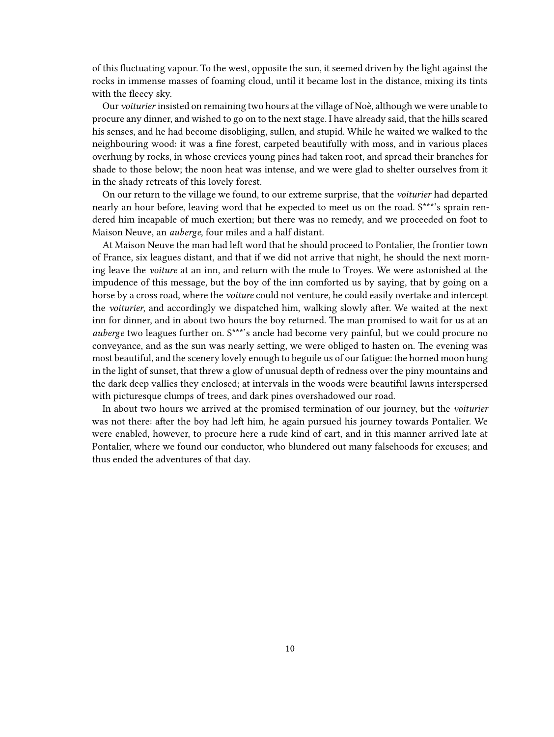of this fluctuating vapour. To the west, opposite the sun, it seemed driven by the light against the rocks in immense masses of foaming cloud, until it became lost in the distance, mixing its tints with the fleecy sky.

Our *voiturier* insisted on remaining two hours at the village of Noè, although we were unable to procure any dinner, and wished to go on to the next stage. I have already said, that the hills scared his senses, and he had become disobliging, sullen, and stupid. While he waited we walked to the neighbouring wood: it was a fine forest, carpeted beautifully with moss, and in various places overhung by rocks, in whose crevices young pines had taken root, and spread their branches for shade to those below; the noon heat was intense, and we were glad to shelter ourselves from it in the shady retreats of this lovely forest.

On our return to the village we found, to our extreme surprise, that the *voiturier* had departed nearly an hour before, leaving word that he expected to meet us on the road. S\*\*\*'s sprain rendered him incapable of much exertion; but there was no remedy, and we proceeded on foot to Maison Neuve, an *auberge*, four miles and a half distant.

At Maison Neuve the man had left word that he should proceed to Pontalier, the frontier town of France, six leagues distant, and that if we did not arrive that night, he should the next morning leave the *voiture* at an inn, and return with the mule to Troyes. We were astonished at the impudence of this message, but the boy of the inn comforted us by saying, that by going on a horse by a cross road, where the *voiture* could not venture, he could easily overtake and intercept the *voiturier*, and accordingly we dispatched him, walking slowly after. We waited at the next inn for dinner, and in about two hours the boy returned. The man promised to wait for us at an *auberge* two leagues further on. S\*\*\*'s ancle had become very painful, but we could procure no conveyance, and as the sun was nearly setting, we were obliged to hasten on. The evening was most beautiful, and the scenery lovely enough to beguile us of our fatigue: the horned moon hung in the light of sunset, that threw a glow of unusual depth of redness over the piny mountains and the dark deep vallies they enclosed; at intervals in the woods were beautiful lawns interspersed with picturesque clumps of trees, and dark pines overshadowed our road.

In about two hours we arrived at the promised termination of our journey, but the *voiturier* was not there: after the boy had left him, he again pursued his journey towards Pontalier. We were enabled, however, to procure here a rude kind of cart, and in this manner arrived late at Pontalier, where we found our conductor, who blundered out many falsehoods for excuses; and thus ended the adventures of that day.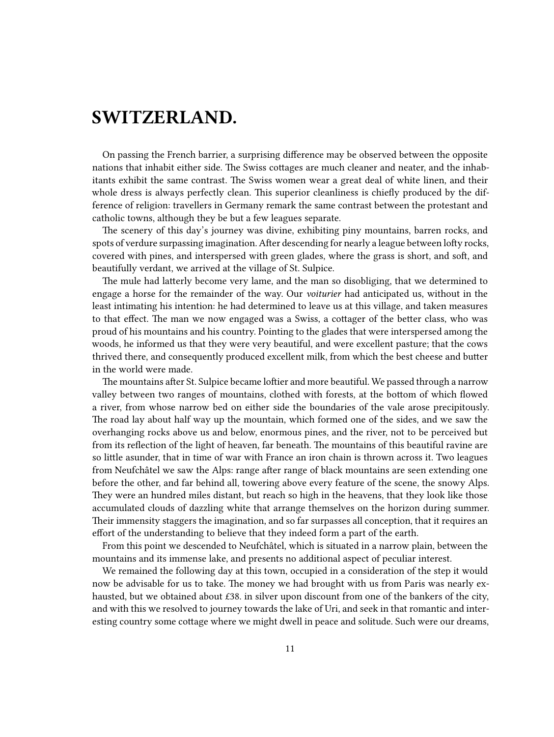## <span id="page-10-0"></span>**SWITZERLAND.**

On passing the French barrier, a surprising difference may be observed between the opposite nations that inhabit either side. The Swiss cottages are much cleaner and neater, and the inhabitants exhibit the same contrast. The Swiss women wear a great deal of white linen, and their whole dress is always perfectly clean. This superior cleanliness is chiefly produced by the difference of religion: travellers in Germany remark the same contrast between the protestant and catholic towns, although they be but a few leagues separate.

The scenery of this day's journey was divine, exhibiting piny mountains, barren rocks, and spots of verdure surpassing imagination. After descending for nearly a league between lofty rocks, covered with pines, and interspersed with green glades, where the grass is short, and soft, and beautifully verdant, we arrived at the village of St. Sulpice.

The mule had latterly become very lame, and the man so disobliging, that we determined to engage a horse for the remainder of the way. Our *voiturier* had anticipated us, without in the least intimating his intention: he had determined to leave us at this village, and taken measures to that effect. The man we now engaged was a Swiss, a cottager of the better class, who was proud of his mountains and his country. Pointing to the glades that were interspersed among the woods, he informed us that they were very beautiful, and were excellent pasture; that the cows thrived there, and consequently produced excellent milk, from which the best cheese and butter in the world were made.

The mountains after St. Sulpice became loftier and more beautiful. We passed through a narrow valley between two ranges of mountains, clothed with forests, at the bottom of which flowed a river, from whose narrow bed on either side the boundaries of the vale arose precipitously. The road lay about half way up the mountain, which formed one of the sides, and we saw the overhanging rocks above us and below, enormous pines, and the river, not to be perceived but from its reflection of the light of heaven, far beneath. The mountains of this beautiful ravine are so little asunder, that in time of war with France an iron chain is thrown across it. Two leagues from Neufchâtel we saw the Alps: range after range of black mountains are seen extending one before the other, and far behind all, towering above every feature of the scene, the snowy Alps. They were an hundred miles distant, but reach so high in the heavens, that they look like those accumulated clouds of dazzling white that arrange themselves on the horizon during summer. Their immensity staggers the imagination, and so far surpasses all conception, that it requires an effort of the understanding to believe that they indeed form a part of the earth.

From this point we descended to Neufchâtel, which is situated in a narrow plain, between the mountains and its immense lake, and presents no additional aspect of peculiar interest.

We remained the following day at this town, occupied in a consideration of the step it would now be advisable for us to take. The money we had brought with us from Paris was nearly exhausted, but we obtained about £38. in silver upon discount from one of the bankers of the city, and with this we resolved to journey towards the lake of Uri, and seek in that romantic and interesting country some cottage where we might dwell in peace and solitude. Such were our dreams,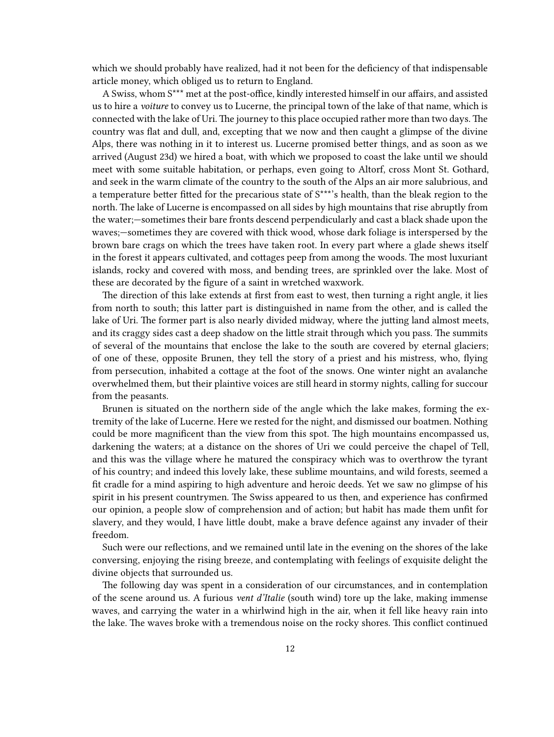which we should probably have realized, had it not been for the deficiency of that indispensable article money, which obliged us to return to England.

A Swiss, whom S\*\*\* met at the post-office, kindly interested himself in our affairs, and assisted us to hire a *voiture* to convey us to Lucerne, the principal town of the lake of that name, which is connected with the lake of Uri. The journey to this place occupied rather more than two days. The country was flat and dull, and, excepting that we now and then caught a glimpse of the divine Alps, there was nothing in it to interest us. Lucerne promised better things, and as soon as we arrived (August 23d) we hired a boat, with which we proposed to coast the lake until we should meet with some suitable habitation, or perhaps, even going to Altorf, cross Mont St. Gothard, and seek in the warm climate of the country to the south of the Alps an air more salubrious, and a temperature better fitted for the precarious state of  $S^{***}$ 's health, than the bleak region to the north. The lake of Lucerne is encompassed on all sides by high mountains that rise abruptly from the water;—sometimes their bare fronts descend perpendicularly and cast a black shade upon the waves;—sometimes they are covered with thick wood, whose dark foliage is interspersed by the brown bare crags on which the trees have taken root. In every part where a glade shews itself in the forest it appears cultivated, and cottages peep from among the woods. The most luxuriant islands, rocky and covered with moss, and bending trees, are sprinkled over the lake. Most of these are decorated by the figure of a saint in wretched waxwork.

The direction of this lake extends at first from east to west, then turning a right angle, it lies from north to south; this latter part is distinguished in name from the other, and is called the lake of Uri. The former part is also nearly divided midway, where the jutting land almost meets, and its craggy sides cast a deep shadow on the little strait through which you pass. The summits of several of the mountains that enclose the lake to the south are covered by eternal glaciers; of one of these, opposite Brunen, they tell the story of a priest and his mistress, who, flying from persecution, inhabited a cottage at the foot of the snows. One winter night an avalanche overwhelmed them, but their plaintive voices are still heard in stormy nights, calling for succour from the peasants.

Brunen is situated on the northern side of the angle which the lake makes, forming the extremity of the lake of Lucerne. Here we rested for the night, and dismissed our boatmen. Nothing could be more magnificent than the view from this spot. The high mountains encompassed us, darkening the waters; at a distance on the shores of Uri we could perceive the chapel of Tell, and this was the village where he matured the conspiracy which was to overthrow the tyrant of his country; and indeed this lovely lake, these sublime mountains, and wild forests, seemed a fit cradle for a mind aspiring to high adventure and heroic deeds. Yet we saw no glimpse of his spirit in his present countrymen. The Swiss appeared to us then, and experience has confirmed our opinion, a people slow of comprehension and of action; but habit has made them unfit for slavery, and they would, I have little doubt, make a brave defence against any invader of their freedom.

Such were our reflections, and we remained until late in the evening on the shores of the lake conversing, enjoying the rising breeze, and contemplating with feelings of exquisite delight the divine objects that surrounded us.

The following day was spent in a consideration of our circumstances, and in contemplation of the scene around us. A furious *vent d'Italie* (south wind) tore up the lake, making immense waves, and carrying the water in a whirlwind high in the air, when it fell like heavy rain into the lake. The waves broke with a tremendous noise on the rocky shores. This conflict continued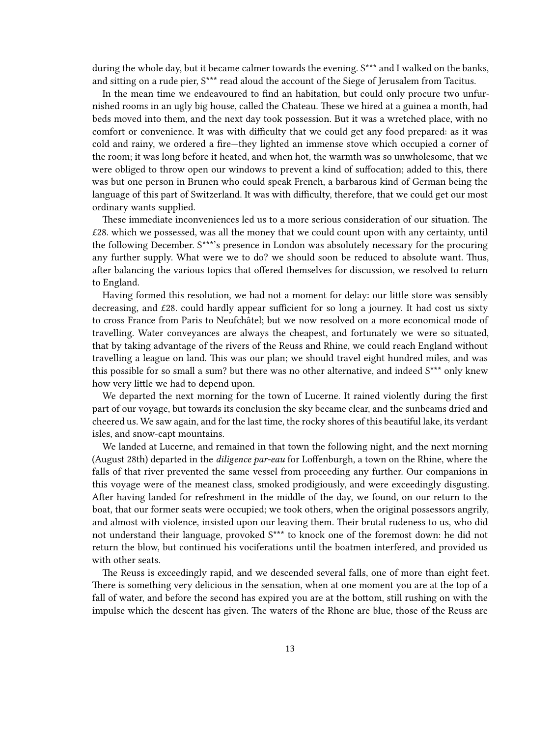during the whole day, but it became calmer towards the evening. S\*\*\* and I walked on the banks, and sitting on a rude pier, S\*\*\* read aloud the account of the Siege of Jerusalem from Tacitus.

In the mean time we endeavoured to find an habitation, but could only procure two unfurnished rooms in an ugly big house, called the Chateau. These we hired at a guinea a month, had beds moved into them, and the next day took possession. But it was a wretched place, with no comfort or convenience. It was with difficulty that we could get any food prepared: as it was cold and rainy, we ordered a fire—they lighted an immense stove which occupied a corner of the room; it was long before it heated, and when hot, the warmth was so unwholesome, that we were obliged to throw open our windows to prevent a kind of suffocation; added to this, there was but one person in Brunen who could speak French, a barbarous kind of German being the language of this part of Switzerland. It was with difficulty, therefore, that we could get our most ordinary wants supplied.

These immediate inconveniences led us to a more serious consideration of our situation. The  $£28.$  which we possessed, was all the money that we could count upon with any certainty, until the following December. S\*\*\*'s presence in London was absolutely necessary for the procuring any further supply. What were we to do? we should soon be reduced to absolute want. Thus, after balancing the various topics that offered themselves for discussion, we resolved to return to England.

Having formed this resolution, we had not a moment for delay: our little store was sensibly decreasing, and  $£28$ . could hardly appear sufficient for so long a journey. It had cost us sixty to cross France from Paris to Neufchâtel; but we now resolved on a more economical mode of travelling. Water conveyances are always the cheapest, and fortunately we were so situated, that by taking advantage of the rivers of the Reuss and Rhine, we could reach England without travelling a league on land. This was our plan; we should travel eight hundred miles, and was this possible for so small a sum? but there was no other alternative, and indeed S\*\*\* only knew how very little we had to depend upon.

We departed the next morning for the town of Lucerne. It rained violently during the first part of our voyage, but towards its conclusion the sky became clear, and the sunbeams dried and cheered us. We saw again, and for the last time, the rocky shores of this beautiful lake, its verdant isles, and snow-capt mountains.

We landed at Lucerne, and remained in that town the following night, and the next morning (August 28th) departed in the *diligence par-eau* for Loffenburgh, a town on the Rhine, where the falls of that river prevented the same vessel from proceeding any further. Our companions in this voyage were of the meanest class, smoked prodigiously, and were exceedingly disgusting. After having landed for refreshment in the middle of the day, we found, on our return to the boat, that our former seats were occupied; we took others, when the original possessors angrily, and almost with violence, insisted upon our leaving them. Their brutal rudeness to us, who did not understand their language, provoked S\*\*\* to knock one of the foremost down: he did not return the blow, but continued his vociferations until the boatmen interfered, and provided us with other seats.

The Reuss is exceedingly rapid, and we descended several falls, one of more than eight feet. There is something very delicious in the sensation, when at one moment you are at the top of a fall of water, and before the second has expired you are at the bottom, still rushing on with the impulse which the descent has given. The waters of the Rhone are blue, those of the Reuss are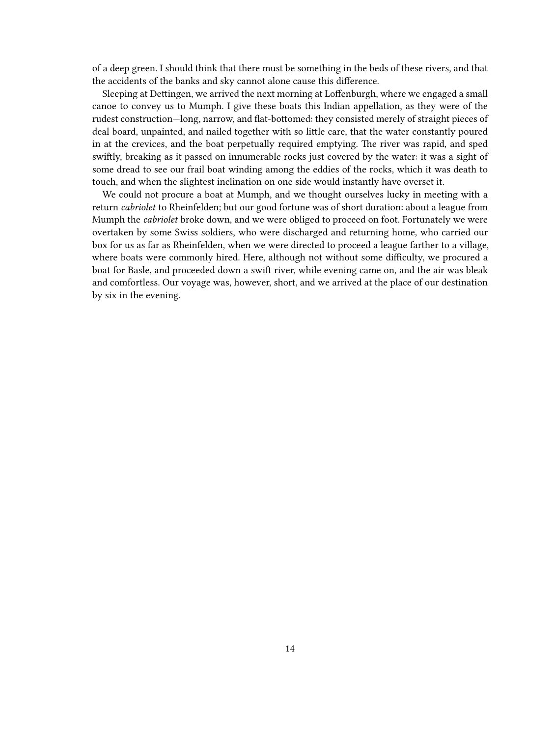of a deep green. I should think that there must be something in the beds of these rivers, and that the accidents of the banks and sky cannot alone cause this difference.

Sleeping at Dettingen, we arrived the next morning at Loffenburgh, where we engaged a small canoe to convey us to Mumph. I give these boats this Indian appellation, as they were of the rudest construction—long, narrow, and flat-bottomed: they consisted merely of straight pieces of deal board, unpainted, and nailed together with so little care, that the water constantly poured in at the crevices, and the boat perpetually required emptying. The river was rapid, and sped swiftly, breaking as it passed on innumerable rocks just covered by the water: it was a sight of some dread to see our frail boat winding among the eddies of the rocks, which it was death to touch, and when the slightest inclination on one side would instantly have overset it.

We could not procure a boat at Mumph, and we thought ourselves lucky in meeting with a return *cabriolet* to Rheinfelden; but our good fortune was of short duration: about a league from Mumph the *cabriolet* broke down, and we were obliged to proceed on foot. Fortunately we were overtaken by some Swiss soldiers, who were discharged and returning home, who carried our box for us as far as Rheinfelden, when we were directed to proceed a league farther to a village, where boats were commonly hired. Here, although not without some difficulty, we procured a boat for Basle, and proceeded down a swift river, while evening came on, and the air was bleak and comfortless. Our voyage was, however, short, and we arrived at the place of our destination by six in the evening.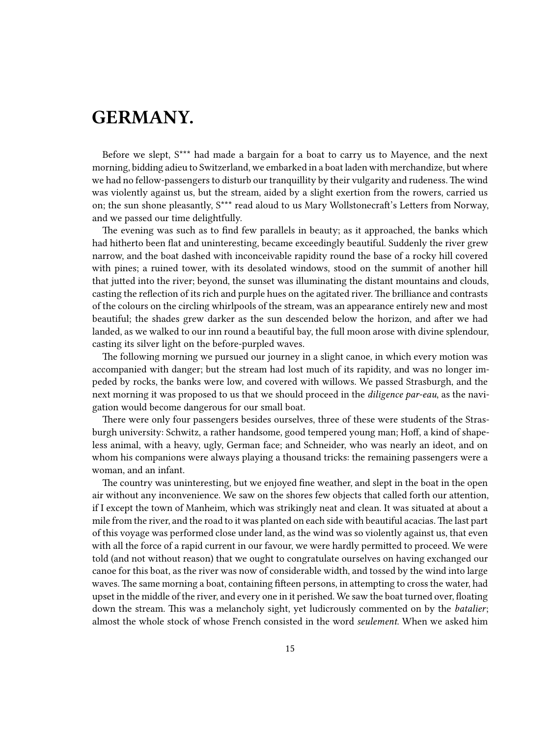## <span id="page-14-0"></span>**GERMANY.**

Before we slept, S\*\*\* had made a bargain for a boat to carry us to Mayence, and the next morning, bidding adieu to Switzerland, we embarked in a boat laden with merchandize, but where we had no fellow-passengers to disturb our tranquillity by their vulgarity and rudeness. The wind was violently against us, but the stream, aided by a slight exertion from the rowers, carried us on; the sun shone pleasantly, S\*\*\* read aloud to us Mary Wollstonecraft's Letters from Norway, and we passed our time delightfully.

The evening was such as to find few parallels in beauty; as it approached, the banks which had hitherto been flat and uninteresting, became exceedingly beautiful. Suddenly the river grew narrow, and the boat dashed with inconceivable rapidity round the base of a rocky hill covered with pines; a ruined tower, with its desolated windows, stood on the summit of another hill that jutted into the river; beyond, the sunset was illuminating the distant mountains and clouds, casting the reflection of its rich and purple hues on the agitated river. The brilliance and contrasts of the colours on the circling whirlpools of the stream, was an appearance entirely new and most beautiful; the shades grew darker as the sun descended below the horizon, and after we had landed, as we walked to our inn round a beautiful bay, the full moon arose with divine splendour, casting its silver light on the before-purpled waves.

The following morning we pursued our journey in a slight canoe, in which every motion was accompanied with danger; but the stream had lost much of its rapidity, and was no longer impeded by rocks, the banks were low, and covered with willows. We passed Strasburgh, and the next morning it was proposed to us that we should proceed in the *diligence par-eau*, as the navigation would become dangerous for our small boat.

There were only four passengers besides ourselves, three of these were students of the Strasburgh university: Schwitz, a rather handsome, good tempered young man; Hoff, a kind of shapeless animal, with a heavy, ugly, German face; and Schneider, who was nearly an ideot, and on whom his companions were always playing a thousand tricks: the remaining passengers were a woman, and an infant.

The country was uninteresting, but we enjoyed fine weather, and slept in the boat in the open air without any inconvenience. We saw on the shores few objects that called forth our attention, if I except the town of Manheim, which was strikingly neat and clean. It was situated at about a mile from the river, and the road to it was planted on each side with beautiful acacias. The last part of this voyage was performed close under land, as the wind was so violently against us, that even with all the force of a rapid current in our favour, we were hardly permitted to proceed. We were told (and not without reason) that we ought to congratulate ourselves on having exchanged our canoe for this boat, as the river was now of considerable width, and tossed by the wind into large waves. The same morning a boat, containing fifteen persons, in attempting to cross the water, had upset in the middle of the river, and every one in it perished. We saw the boat turned over, floating down the stream. This was a melancholy sight, yet ludicrously commented on by the *batalier*; almost the whole stock of whose French consisted in the word *seulement*. When we asked him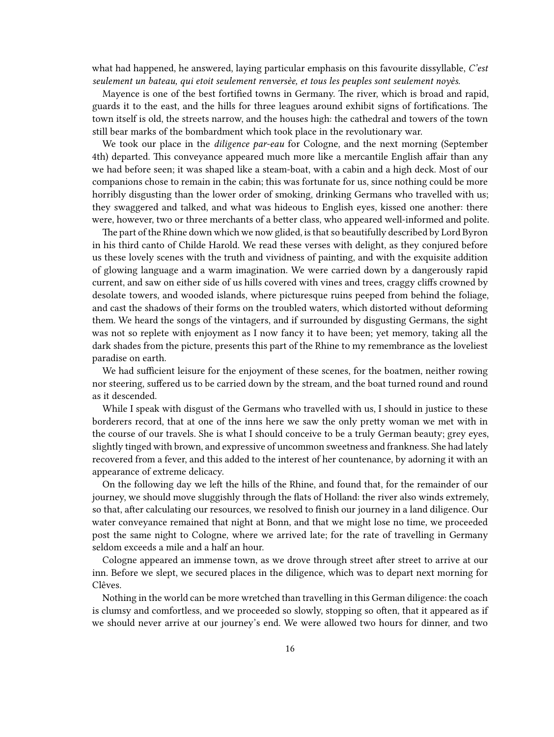what had happened, he answered, laying particular emphasis on this favourite dissyllable, *C'est seulement un bateau, qui etoit seulement renversèe, et tous les peuples sont seulement noyès.*

Mayence is one of the best fortified towns in Germany. The river, which is broad and rapid, guards it to the east, and the hills for three leagues around exhibit signs of fortifications. The town itself is old, the streets narrow, and the houses high: the cathedral and towers of the town still bear marks of the bombardment which took place in the revolutionary war.

We took our place in the *diligence par-eau* for Cologne, and the next morning (September 4th) departed. This conveyance appeared much more like a mercantile English affair than any we had before seen; it was shaped like a steam-boat, with a cabin and a high deck. Most of our companions chose to remain in the cabin; this was fortunate for us, since nothing could be more horribly disgusting than the lower order of smoking, drinking Germans who travelled with us; they swaggered and talked, and what was hideous to English eyes, kissed one another: there were, however, two or three merchants of a better class, who appeared well-informed and polite.

The part of the Rhine down which we now glided, is that so beautifully described by Lord Byron in his third canto of Childe Harold. We read these verses with delight, as they conjured before us these lovely scenes with the truth and vividness of painting, and with the exquisite addition of glowing language and a warm imagination. We were carried down by a dangerously rapid current, and saw on either side of us hills covered with vines and trees, craggy cliffs crowned by desolate towers, and wooded islands, where picturesque ruins peeped from behind the foliage, and cast the shadows of their forms on the troubled waters, which distorted without deforming them. We heard the songs of the vintagers, and if surrounded by disgusting Germans, the sight was not so replete with enjoyment as I now fancy it to have been; yet memory, taking all the dark shades from the picture, presents this part of the Rhine to my remembrance as the loveliest paradise on earth.

We had sufficient leisure for the enjoyment of these scenes, for the boatmen, neither rowing nor steering, suffered us to be carried down by the stream, and the boat turned round and round as it descended.

While I speak with disgust of the Germans who travelled with us, I should in justice to these borderers record, that at one of the inns here we saw the only pretty woman we met with in the course of our travels. She is what I should conceive to be a truly German beauty; grey eyes, slightly tinged with brown, and expressive of uncommon sweetness and frankness. She had lately recovered from a fever, and this added to the interest of her countenance, by adorning it with an appearance of extreme delicacy.

On the following day we left the hills of the Rhine, and found that, for the remainder of our journey, we should move sluggishly through the flats of Holland: the river also winds extremely, so that, after calculating our resources, we resolved to finish our journey in a land diligence. Our water conveyance remained that night at Bonn, and that we might lose no time, we proceeded post the same night to Cologne, where we arrived late; for the rate of travelling in Germany seldom exceeds a mile and a half an hour.

Cologne appeared an immense town, as we drove through street after street to arrive at our inn. Before we slept, we secured places in the diligence, which was to depart next morning for Clêves.

Nothing in the world can be more wretched than travelling in this German diligence: the coach is clumsy and comfortless, and we proceeded so slowly, stopping so often, that it appeared as if we should never arrive at our journey's end. We were allowed two hours for dinner, and two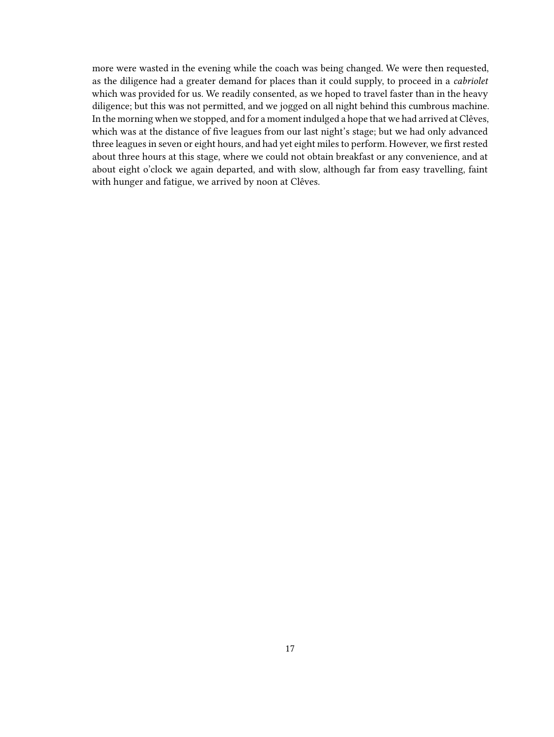more were wasted in the evening while the coach was being changed. We were then requested, as the diligence had a greater demand for places than it could supply, to proceed in a *cabriolet* which was provided for us. We readily consented, as we hoped to travel faster than in the heavy diligence; but this was not permitted, and we jogged on all night behind this cumbrous machine. In the morning when we stopped, and for a moment indulged a hope that we had arrived at Clêves, which was at the distance of five leagues from our last night's stage; but we had only advanced three leagues in seven or eight hours, and had yet eight miles to perform. However, we first rested about three hours at this stage, where we could not obtain breakfast or any convenience, and at about eight o'clock we again departed, and with slow, although far from easy travelling, faint with hunger and fatigue, we arrived by noon at Clêves.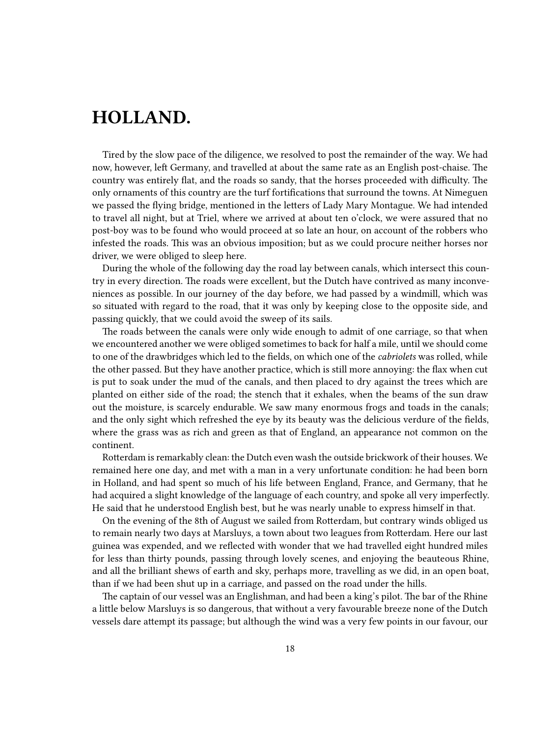## <span id="page-17-0"></span>**HOLLAND.**

Tired by the slow pace of the diligence, we resolved to post the remainder of the way. We had now, however, left Germany, and travelled at about the same rate as an English post-chaise. The country was entirely flat, and the roads so sandy, that the horses proceeded with difficulty. The only ornaments of this country are the turf fortifications that surround the towns. At Nimeguen we passed the flying bridge, mentioned in the letters of Lady Mary Montague. We had intended to travel all night, but at Triel, where we arrived at about ten o'clock, we were assured that no post-boy was to be found who would proceed at so late an hour, on account of the robbers who infested the roads. This was an obvious imposition; but as we could procure neither horses nor driver, we were obliged to sleep here.

During the whole of the following day the road lay between canals, which intersect this country in every direction. The roads were excellent, but the Dutch have contrived as many inconveniences as possible. In our journey of the day before, we had passed by a windmill, which was so situated with regard to the road, that it was only by keeping close to the opposite side, and passing quickly, that we could avoid the sweep of its sails.

The roads between the canals were only wide enough to admit of one carriage, so that when we encountered another we were obliged sometimes to back for half a mile, until we should come to one of the drawbridges which led to the fields, on which one of the *cabriolets* was rolled, while the other passed. But they have another practice, which is still more annoying: the flax when cut is put to soak under the mud of the canals, and then placed to dry against the trees which are planted on either side of the road; the stench that it exhales, when the beams of the sun draw out the moisture, is scarcely endurable. We saw many enormous frogs and toads in the canals; and the only sight which refreshed the eye by its beauty was the delicious verdure of the fields, where the grass was as rich and green as that of England, an appearance not common on the continent.

Rotterdam is remarkably clean: the Dutch even wash the outside brickwork of their houses. We remained here one day, and met with a man in a very unfortunate condition: he had been born in Holland, and had spent so much of his life between England, France, and Germany, that he had acquired a slight knowledge of the language of each country, and spoke all very imperfectly. He said that he understood English best, but he was nearly unable to express himself in that.

On the evening of the 8th of August we sailed from Rotterdam, but contrary winds obliged us to remain nearly two days at Marsluys, a town about two leagues from Rotterdam. Here our last guinea was expended, and we reflected with wonder that we had travelled eight hundred miles for less than thirty pounds, passing through lovely scenes, and enjoying the beauteous Rhine, and all the brilliant shews of earth and sky, perhaps more, travelling as we did, in an open boat, than if we had been shut up in a carriage, and passed on the road under the hills.

The captain of our vessel was an Englishman, and had been a king's pilot. The bar of the Rhine a little below Marsluys is so dangerous, that without a very favourable breeze none of the Dutch vessels dare attempt its passage; but although the wind was a very few points in our favour, our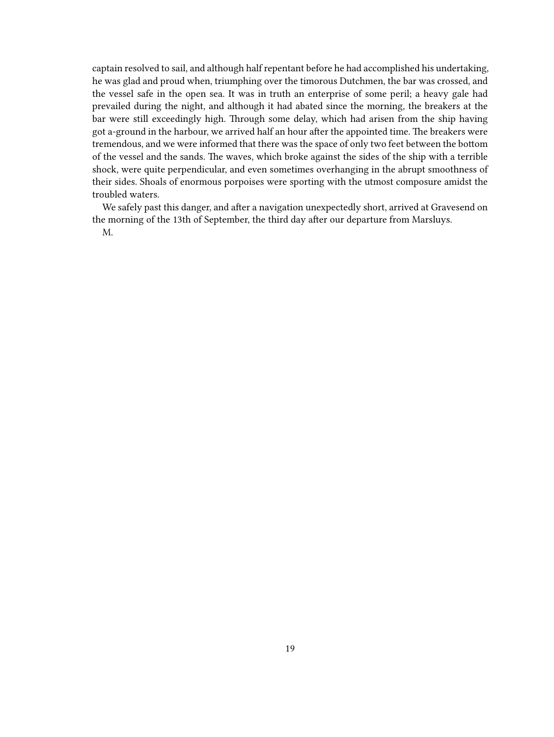captain resolved to sail, and although half repentant before he had accomplished his undertaking, he was glad and proud when, triumphing over the timorous Dutchmen, the bar was crossed, and the vessel safe in the open sea. It was in truth an enterprise of some peril; a heavy gale had prevailed during the night, and although it had abated since the morning, the breakers at the bar were still exceedingly high. Through some delay, which had arisen from the ship having got a-ground in the harbour, we arrived half an hour after the appointed time. The breakers were tremendous, and we were informed that there was the space of only two feet between the bottom of the vessel and the sands. The waves, which broke against the sides of the ship with a terrible shock, were quite perpendicular, and even sometimes overhanging in the abrupt smoothness of their sides. Shoals of enormous porpoises were sporting with the utmost composure amidst the troubled waters.

We safely past this danger, and after a navigation unexpectedly short, arrived at Gravesend on the morning of the 13th of September, the third day after our departure from Marsluys. M.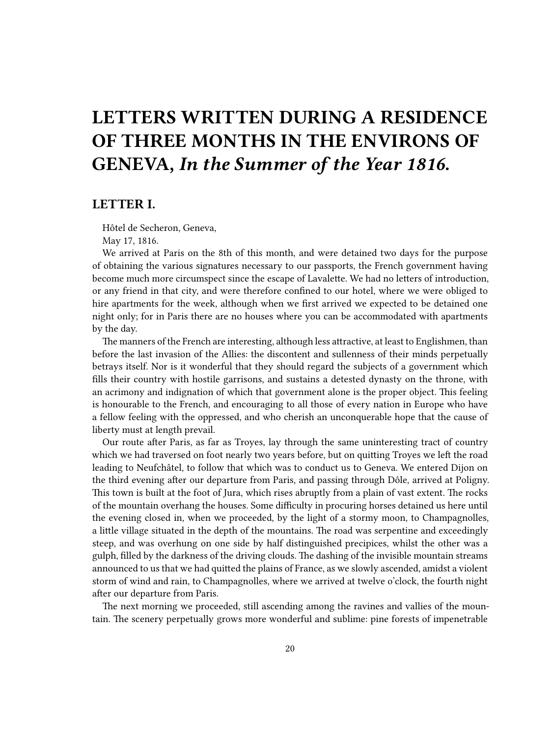# <span id="page-19-0"></span>**LETTERS WRITTEN DURING A RESIDENCE OF THREE MONTHS IN THE ENVIRONS OF GENEVA,** *In the Summer of the Year 1816***.**

#### <span id="page-19-1"></span>**LETTER I.**

Hôtel de Secheron, Geneva,

May 17, 1816.

We arrived at Paris on the 8th of this month, and were detained two days for the purpose of obtaining the various signatures necessary to our passports, the French government having become much more circumspect since the escape of Lavalette. We had no letters of introduction, or any friend in that city, and were therefore confined to our hotel, where we were obliged to hire apartments for the week, although when we first arrived we expected to be detained one night only; for in Paris there are no houses where you can be accommodated with apartments by the day.

The manners of the French are interesting, although less attractive, at least to Englishmen, than before the last invasion of the Allies: the discontent and sullenness of their minds perpetually betrays itself. Nor is it wonderful that they should regard the subjects of a government which fills their country with hostile garrisons, and sustains a detested dynasty on the throne, with an acrimony and indignation of which that government alone is the proper object. This feeling is honourable to the French, and encouraging to all those of every nation in Europe who have a fellow feeling with the oppressed, and who cherish an unconquerable hope that the cause of liberty must at length prevail.

Our route after Paris, as far as Troyes, lay through the same uninteresting tract of country which we had traversed on foot nearly two years before, but on quitting Troyes we left the road leading to Neufchâtel, to follow that which was to conduct us to Geneva. We entered Dijon on the third evening after our departure from Paris, and passing through Dôle, arrived at Poligny. This town is built at the foot of Jura, which rises abruptly from a plain of vast extent. The rocks of the mountain overhang the houses. Some difficulty in procuring horses detained us here until the evening closed in, when we proceeded, by the light of a stormy moon, to Champagnolles, a little village situated in the depth of the mountains. The road was serpentine and exceedingly steep, and was overhung on one side by half distinguished precipices, whilst the other was a gulph, filled by the darkness of the driving clouds. The dashing of the invisible mountain streams announced to us that we had quitted the plains of France, as we slowly ascended, amidst a violent storm of wind and rain, to Champagnolles, where we arrived at twelve o'clock, the fourth night after our departure from Paris.

The next morning we proceeded, still ascending among the ravines and vallies of the mountain. The scenery perpetually grows more wonderful and sublime: pine forests of impenetrable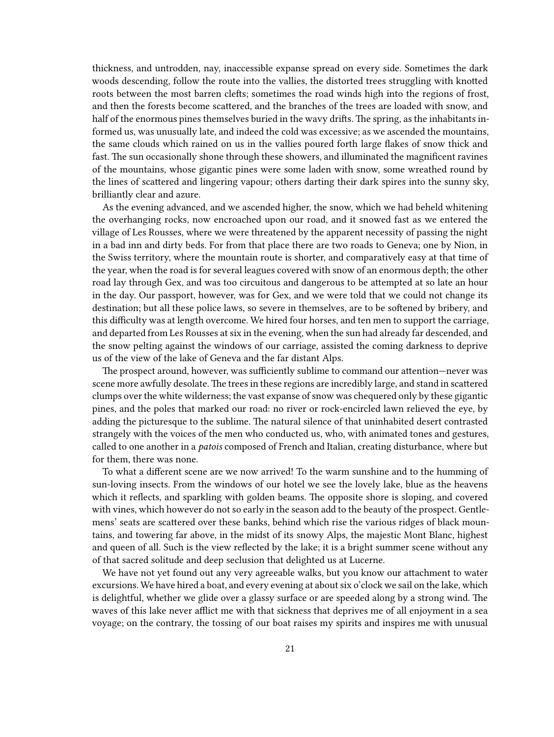thickness, and untrodden, nay, inaccessible expanse spread on every side. Sometimes the dark woods descending, follow the route into the vallies, the distorted trees struggling with knotted roots between the most barren clefts; sometimes the road winds high into the regions of frost, and then the forests become scattered, and the branches of the trees are loaded with snow, and half of the enormous pines themselves buried in the wavy drifts. The spring, as the inhabitants informed us, was unusually late, and indeed the cold was excessive; as we ascended the mountains, the same clouds which rained on us in the vallies poured forth large flakes of snow thick and fast. The sun occasionally shone through these showers, and illuminated the magnificent ravines of the mountains, whose gigantic pines were some laden with snow, some wreathed round by the lines of scattered and lingering vapour; others darting their dark spires into the sunny sky, brilliantly clear and azure.

As the evening advanced, and we ascended higher, the snow, which we had beheld whitening the overhanging rocks, now encroached upon our road, and it snowed fast as we entered the village of Les Rousses, where we were threatened by the apparent necessity of passing the night in a bad inn and dirty beds. For from that place there are two roads to Geneva; one by Nion, in the Swiss territory, where the mountain route is shorter, and comparatively easy at that time of the year, when the road is for several leagues covered with snow of an enormous depth; the other road lay through Gex, and was too circuitous and dangerous to be attempted at so late an hour in the day. Our passport, however, was for Gex, and we were told that we could not change its destination; but all these police laws, so severe in themselves, are to be softened by bribery, and this difficulty was at length overcome. We hired four horses, and ten men to support the carriage, and departed from Les Rousses at six in the evening, when the sun had already far descended, and the snow pelting against the windows of our carriage, assisted the coming darkness to deprive us of the view of the lake of Geneva and the far distant Alps.

The prospect around, however, was sufficiently sublime to command our attention—never was scene more awfully desolate. The trees in these regions are incredibly large, and stand in scattered clumps over the white wilderness; the vast expanse of snow was chequered only by these gigantic pines, and the poles that marked our road: no river or rock-encircled lawn relieved the eye, by adding the picturesque to the sublime. The natural silence of that uninhabited desert contrasted strangely with the voices of the men who conducted us, who, with animated tones and gestures, called to one another in a *patois* composed of French and Italian, creating disturbance, where but for them, there was none.

To what a different scene are we now arrived! To the warm sunshine and to the humming of sun-loving insects. From the windows of our hotel we see the lovely lake, blue as the heavens which it reflects, and sparkling with golden beams. The opposite shore is sloping, and covered with vines, which however do not so early in the season add to the beauty of the prospect. Gentlemens' seats are scattered over these banks, behind which rise the various ridges of black mountains, and towering far above, in the midst of its snowy Alps, the majestic Mont Blanc, highest and queen of all. Such is the view reflected by the lake; it is a bright summer scene without any of that sacred solitude and deep seclusion that delighted us at Lucerne.

We have not yet found out any very agreeable walks, but you know our attachment to water excursions. We have hired a boat, and every evening at about six o'clock we sail on the lake, which is delightful, whether we glide over a glassy surface or are speeded along by a strong wind. The waves of this lake never afflict me with that sickness that deprives me of all enjoyment in a sea voyage; on the contrary, the tossing of our boat raises my spirits and inspires me with unusual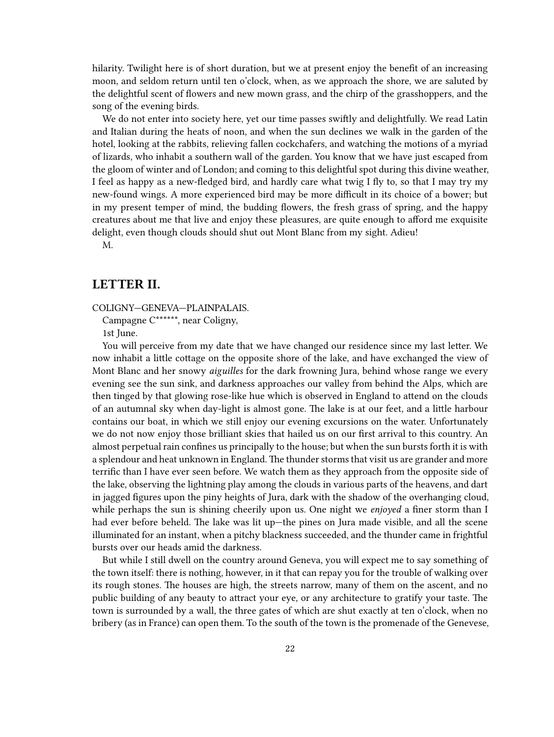hilarity. Twilight here is of short duration, but we at present enjoy the benefit of an increasing moon, and seldom return until ten o'clock, when, as we approach the shore, we are saluted by the delightful scent of flowers and new mown grass, and the chirp of the grasshoppers, and the song of the evening birds.

We do not enter into society here, yet our time passes swiftly and delightfully. We read Latin and Italian during the heats of noon, and when the sun declines we walk in the garden of the hotel, looking at the rabbits, relieving fallen cockchafers, and watching the motions of a myriad of lizards, who inhabit a southern wall of the garden. You know that we have just escaped from the gloom of winter and of London; and coming to this delightful spot during this divine weather, I feel as happy as a new-fledged bird, and hardly care what twig I fly to, so that I may try my new-found wings. A more experienced bird may be more difficult in its choice of a bower; but in my present temper of mind, the budding flowers, the fresh grass of spring, and the happy creatures about me that live and enjoy these pleasures, are quite enough to afford me exquisite delight, even though clouds should shut out Mont Blanc from my sight. Adieu!

M.

### <span id="page-21-0"></span>**LETTER II.**

COLIGNY—GENEVA—PLAINPALAIS.

Campagne C\*\*\*\*\*\*, near Coligny,

1st June.

You will perceive from my date that we have changed our residence since my last letter. We now inhabit a little cottage on the opposite shore of the lake, and have exchanged the view of Mont Blanc and her snowy *aiguilles* for the dark frowning Jura, behind whose range we every evening see the sun sink, and darkness approaches our valley from behind the Alps, which are then tinged by that glowing rose-like hue which is observed in England to attend on the clouds of an autumnal sky when day-light is almost gone. The lake is at our feet, and a little harbour contains our boat, in which we still enjoy our evening excursions on the water. Unfortunately we do not now enjoy those brilliant skies that hailed us on our first arrival to this country. An almost perpetual rain confines us principally to the house; but when the sun bursts forth it is with a splendour and heat unknown in England. The thunder storms that visit us are grander and more terrific than I have ever seen before. We watch them as they approach from the opposite side of the lake, observing the lightning play among the clouds in various parts of the heavens, and dart in jagged figures upon the piny heights of Jura, dark with the shadow of the overhanging cloud, while perhaps the sun is shining cheerily upon us. One night we *enjoyed* a finer storm than I had ever before beheld. The lake was lit up-the pines on Jura made visible, and all the scene illuminated for an instant, when a pitchy blackness succeeded, and the thunder came in frightful bursts over our heads amid the darkness.

But while I still dwell on the country around Geneva, you will expect me to say something of the town itself: there is nothing, however, in it that can repay you for the trouble of walking over its rough stones. The houses are high, the streets narrow, many of them on the ascent, and no public building of any beauty to attract your eye, or any architecture to gratify your taste. The town is surrounded by a wall, the three gates of which are shut exactly at ten o'clock, when no bribery (as in France) can open them. To the south of the town is the promenade of the Genevese,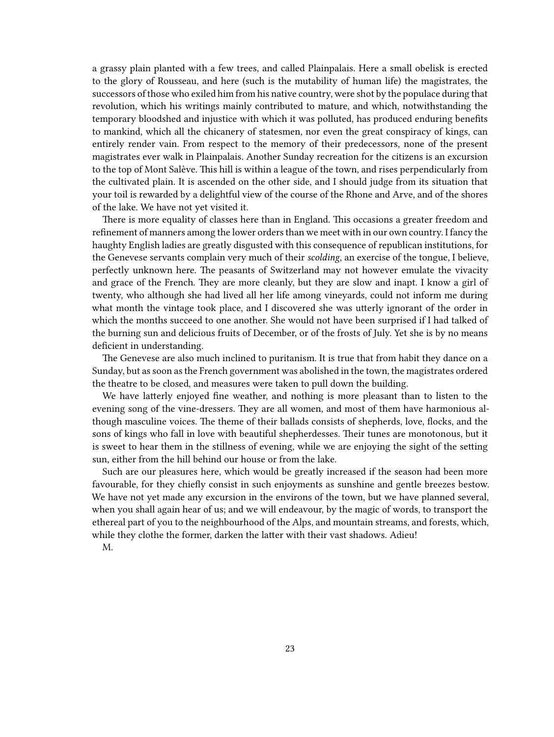a grassy plain planted with a few trees, and called Plainpalais. Here a small obelisk is erected to the glory of Rousseau, and here (such is the mutability of human life) the magistrates, the successors of those who exiled him from his native country, were shot by the populace during that revolution, which his writings mainly contributed to mature, and which, notwithstanding the temporary bloodshed and injustice with which it was polluted, has produced enduring benefits to mankind, which all the chicanery of statesmen, nor even the great conspiracy of kings, can entirely render vain. From respect to the memory of their predecessors, none of the present magistrates ever walk in Plainpalais. Another Sunday recreation for the citizens is an excursion to the top of Mont Salève. This hill is within a league of the town, and rises perpendicularly from the cultivated plain. It is ascended on the other side, and I should judge from its situation that your toil is rewarded by a delightful view of the course of the Rhone and Arve, and of the shores of the lake. We have not yet visited it.

There is more equality of classes here than in England. This occasions a greater freedom and refinement of manners among the lower orders than we meet with in our own country. I fancy the haughty English ladies are greatly disgusted with this consequence of republican institutions, for the Genevese servants complain very much of their *scolding*, an exercise of the tongue, I believe, perfectly unknown here. The peasants of Switzerland may not however emulate the vivacity and grace of the French. They are more cleanly, but they are slow and inapt. I know a girl of twenty, who although she had lived all her life among vineyards, could not inform me during what month the vintage took place, and I discovered she was utterly ignorant of the order in which the months succeed to one another. She would not have been surprised if I had talked of the burning sun and delicious fruits of December, or of the frosts of July. Yet she is by no means deficient in understanding.

The Genevese are also much inclined to puritanism. It is true that from habit they dance on a Sunday, but as soon as the French government was abolished in the town, the magistrates ordered the theatre to be closed, and measures were taken to pull down the building.

We have latterly enjoyed fine weather, and nothing is more pleasant than to listen to the evening song of the vine-dressers. They are all women, and most of them have harmonious although masculine voices. The theme of their ballads consists of shepherds, love, flocks, and the sons of kings who fall in love with beautiful shepherdesses. Their tunes are monotonous, but it is sweet to hear them in the stillness of evening, while we are enjoying the sight of the setting sun, either from the hill behind our house or from the lake.

Such are our pleasures here, which would be greatly increased if the season had been more favourable, for they chiefly consist in such enjoyments as sunshine and gentle breezes bestow. We have not yet made any excursion in the environs of the town, but we have planned several, when you shall again hear of us; and we will endeavour, by the magic of words, to transport the ethereal part of you to the neighbourhood of the Alps, and mountain streams, and forests, which, while they clothe the former, darken the latter with their vast shadows. Adieu!

M.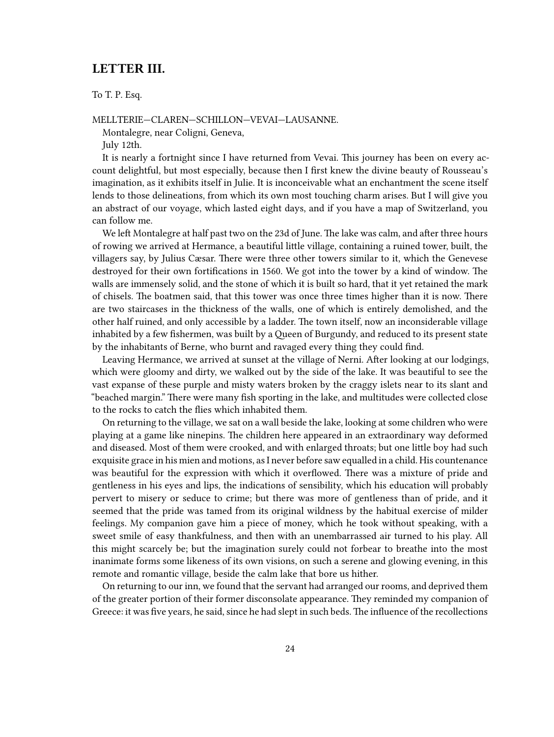### <span id="page-23-0"></span>**LETTER III.**

To T. P. Esq.

MELLTERIE—CLAREN—SCHILLON—VEVAI—LAUSANNE.

Montalegre, near Coligni, Geneva,

July 12th.

It is nearly a fortnight since I have returned from Vevai. This journey has been on every account delightful, but most especially, because then I first knew the divine beauty of Rousseau's imagination, as it exhibits itself in Julie. It is inconceivable what an enchantment the scene itself lends to those delineations, from which its own most touching charm arises. But I will give you an abstract of our voyage, which lasted eight days, and if you have a map of Switzerland, you can follow me.

We left Montalegre at half past two on the 23d of June. The lake was calm, and after three hours of rowing we arrived at Hermance, a beautiful little village, containing a ruined tower, built, the villagers say, by Julius Cæsar. There were three other towers similar to it, which the Genevese destroyed for their own fortifications in 1560. We got into the tower by a kind of window. The walls are immensely solid, and the stone of which it is built so hard, that it yet retained the mark of chisels. The boatmen said, that this tower was once three times higher than it is now. There are two staircases in the thickness of the walls, one of which is entirely demolished, and the other half ruined, and only accessible by a ladder. The town itself, now an inconsiderable village inhabited by a few fishermen, was built by a Queen of Burgundy, and reduced to its present state by the inhabitants of Berne, who burnt and ravaged every thing they could find.

Leaving Hermance, we arrived at sunset at the village of Nerni. After looking at our lodgings, which were gloomy and dirty, we walked out by the side of the lake. It was beautiful to see the vast expanse of these purple and misty waters broken by the craggy islets near to its slant and "beached margin." There were many fish sporting in the lake, and multitudes were collected close to the rocks to catch the flies which inhabited them.

On returning to the village, we sat on a wall beside the lake, looking at some children who were playing at a game like ninepins. The children here appeared in an extraordinary way deformed and diseased. Most of them were crooked, and with enlarged throats; but one little boy had such exquisite grace in his mien and motions, as I never before saw equalled in a child. His countenance was beautiful for the expression with which it overflowed. There was a mixture of pride and gentleness in his eyes and lips, the indications of sensibility, which his education will probably pervert to misery or seduce to crime; but there was more of gentleness than of pride, and it seemed that the pride was tamed from its original wildness by the habitual exercise of milder feelings. My companion gave him a piece of money, which he took without speaking, with a sweet smile of easy thankfulness, and then with an unembarrassed air turned to his play. All this might scarcely be; but the imagination surely could not forbear to breathe into the most inanimate forms some likeness of its own visions, on such a serene and glowing evening, in this remote and romantic village, beside the calm lake that bore us hither.

On returning to our inn, we found that the servant had arranged our rooms, and deprived them of the greater portion of their former disconsolate appearance. They reminded my companion of Greece: it was five years, he said, since he had slept in such beds. The influence of the recollections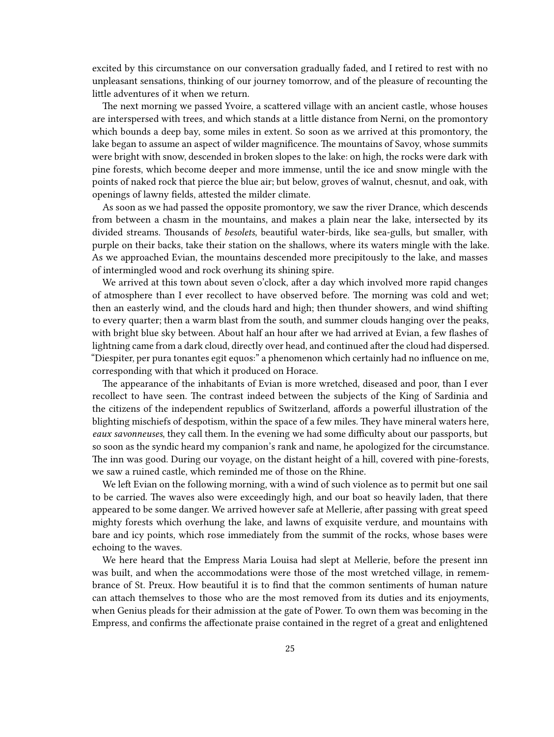excited by this circumstance on our conversation gradually faded, and I retired to rest with no unpleasant sensations, thinking of our journey tomorrow, and of the pleasure of recounting the little adventures of it when we return.

The next morning we passed Yvoire, a scattered village with an ancient castle, whose houses are interspersed with trees, and which stands at a little distance from Nerni, on the promontory which bounds a deep bay, some miles in extent. So soon as we arrived at this promontory, the lake began to assume an aspect of wilder magnificence. The mountains of Savoy, whose summits were bright with snow, descended in broken slopes to the lake: on high, the rocks were dark with pine forests, which become deeper and more immense, until the ice and snow mingle with the points of naked rock that pierce the blue air; but below, groves of walnut, chesnut, and oak, with openings of lawny fields, attested the milder climate.

As soon as we had passed the opposite promontory, we saw the river Drance, which descends from between a chasm in the mountains, and makes a plain near the lake, intersected by its divided streams. Thousands of *besolets*, beautiful water-birds, like sea-gulls, but smaller, with purple on their backs, take their station on the shallows, where its waters mingle with the lake. As we approached Evian, the mountains descended more precipitously to the lake, and masses of intermingled wood and rock overhung its shining spire.

We arrived at this town about seven o'clock, after a day which involved more rapid changes of atmosphere than I ever recollect to have observed before. The morning was cold and wet; then an easterly wind, and the clouds hard and high; then thunder showers, and wind shifting to every quarter; then a warm blast from the south, and summer clouds hanging over the peaks, with bright blue sky between. About half an hour after we had arrived at Evian, a few flashes of lightning came from a dark cloud, directly over head, and continued after the cloud had dispersed. "Diespiter, per pura tonantes egit equos:" a phenomenon which certainly had no influence on me, corresponding with that which it produced on Horace.

The appearance of the inhabitants of Evian is more wretched, diseased and poor, than I ever recollect to have seen. The contrast indeed between the subjects of the King of Sardinia and the citizens of the independent republics of Switzerland, affords a powerful illustration of the blighting mischiefs of despotism, within the space of a few miles. They have mineral waters here, *eaux savonneuses*, they call them. In the evening we had some difficulty about our passports, but so soon as the syndic heard my companion's rank and name, he apologized for the circumstance. The inn was good. During our voyage, on the distant height of a hill, covered with pine-forests, we saw a ruined castle, which reminded me of those on the Rhine.

We left Evian on the following morning, with a wind of such violence as to permit but one sail to be carried. The waves also were exceedingly high, and our boat so heavily laden, that there appeared to be some danger. We arrived however safe at Mellerie, after passing with great speed mighty forests which overhung the lake, and lawns of exquisite verdure, and mountains with bare and icy points, which rose immediately from the summit of the rocks, whose bases were echoing to the waves.

We here heard that the Empress Maria Louisa had slept at Mellerie, before the present inn was built, and when the accommodations were those of the most wretched village, in remembrance of St. Preux. How beautiful it is to find that the common sentiments of human nature can attach themselves to those who are the most removed from its duties and its enjoyments, when Genius pleads for their admission at the gate of Power. To own them was becoming in the Empress, and confirms the affectionate praise contained in the regret of a great and enlightened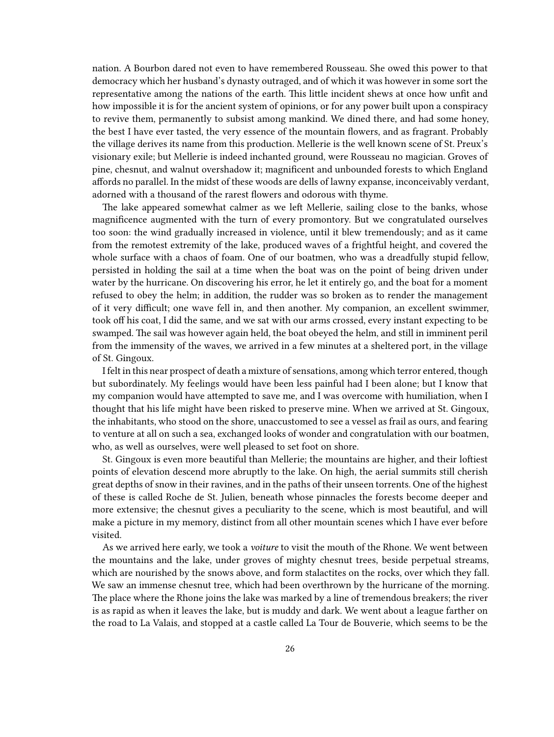nation. A Bourbon dared not even to have remembered Rousseau. She owed this power to that democracy which her husband's dynasty outraged, and of which it was however in some sort the representative among the nations of the earth. This little incident shews at once how unfit and how impossible it is for the ancient system of opinions, or for any power built upon a conspiracy to revive them, permanently to subsist among mankind. We dined there, and had some honey, the best I have ever tasted, the very essence of the mountain flowers, and as fragrant. Probably the village derives its name from this production. Mellerie is the well known scene of St. Preux's visionary exile; but Mellerie is indeed inchanted ground, were Rousseau no magician. Groves of pine, chesnut, and walnut overshadow it; magnificent and unbounded forests to which England affords no parallel. In the midst of these woods are dells of lawny expanse, inconceivably verdant, adorned with a thousand of the rarest flowers and odorous with thyme.

The lake appeared somewhat calmer as we left Mellerie, sailing close to the banks, whose magnificence augmented with the turn of every promontory. But we congratulated ourselves too soon: the wind gradually increased in violence, until it blew tremendously; and as it came from the remotest extremity of the lake, produced waves of a frightful height, and covered the whole surface with a chaos of foam. One of our boatmen, who was a dreadfully stupid fellow, persisted in holding the sail at a time when the boat was on the point of being driven under water by the hurricane. On discovering his error, he let it entirely go, and the boat for a moment refused to obey the helm; in addition, the rudder was so broken as to render the management of it very difficult; one wave fell in, and then another. My companion, an excellent swimmer, took off his coat, I did the same, and we sat with our arms crossed, every instant expecting to be swamped. The sail was however again held, the boat obeyed the helm, and still in imminent peril from the immensity of the waves, we arrived in a few minutes at a sheltered port, in the village of St. Gingoux.

I felt in this near prospect of death a mixture of sensations, among which terror entered, though but subordinately. My feelings would have been less painful had I been alone; but I know that my companion would have attempted to save me, and I was overcome with humiliation, when I thought that his life might have been risked to preserve mine. When we arrived at St. Gingoux, the inhabitants, who stood on the shore, unaccustomed to see a vessel as frail as ours, and fearing to venture at all on such a sea, exchanged looks of wonder and congratulation with our boatmen, who, as well as ourselves, were well pleased to set foot on shore.

St. Gingoux is even more beautiful than Mellerie; the mountains are higher, and their loftiest points of elevation descend more abruptly to the lake. On high, the aerial summits still cherish great depths of snow in their ravines, and in the paths of their unseen torrents. One of the highest of these is called Roche de St. Julien, beneath whose pinnacles the forests become deeper and more extensive; the chesnut gives a peculiarity to the scene, which is most beautiful, and will make a picture in my memory, distinct from all other mountain scenes which I have ever before visited.

As we arrived here early, we took a *voiture* to visit the mouth of the Rhone. We went between the mountains and the lake, under groves of mighty chesnut trees, beside perpetual streams, which are nourished by the snows above, and form stalactites on the rocks, over which they fall. We saw an immense chesnut tree, which had been overthrown by the hurricane of the morning. The place where the Rhone joins the lake was marked by a line of tremendous breakers; the river is as rapid as when it leaves the lake, but is muddy and dark. We went about a league farther on the road to La Valais, and stopped at a castle called La Tour de Bouverie, which seems to be the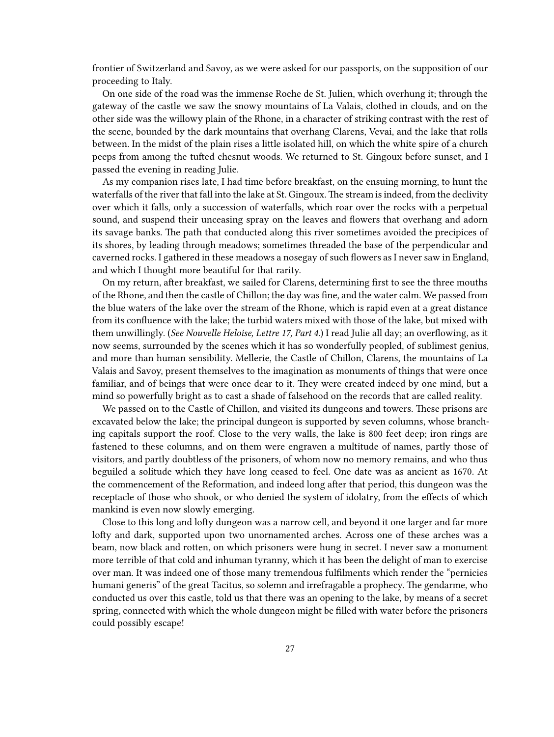frontier of Switzerland and Savoy, as we were asked for our passports, on the supposition of our proceeding to Italy.

On one side of the road was the immense Roche de St. Julien, which overhung it; through the gateway of the castle we saw the snowy mountains of La Valais, clothed in clouds, and on the other side was the willowy plain of the Rhone, in a character of striking contrast with the rest of the scene, bounded by the dark mountains that overhang Clarens, Vevai, and the lake that rolls between. In the midst of the plain rises a little isolated hill, on which the white spire of a church peeps from among the tufted chesnut woods. We returned to St. Gingoux before sunset, and I passed the evening in reading Julie.

As my companion rises late, I had time before breakfast, on the ensuing morning, to hunt the waterfalls of the river that fall into the lake at St. Gingoux. The stream is indeed, from the declivity over which it falls, only a succession of waterfalls, which roar over the rocks with a perpetual sound, and suspend their unceasing spray on the leaves and flowers that overhang and adorn its savage banks. The path that conducted along this river sometimes avoided the precipices of its shores, by leading through meadows; sometimes threaded the base of the perpendicular and caverned rocks. I gathered in these meadows a nosegay of such flowers as I never saw in England, and which I thought more beautiful for that rarity.

On my return, after breakfast, we sailed for Clarens, determining first to see the three mouths of the Rhone, and then the castle of Chillon; the day was fine, and the water calm. We passed from the blue waters of the lake over the stream of the Rhone, which is rapid even at a great distance from its confluence with the lake; the turbid waters mixed with those of the lake, but mixed with them unwillingly. (*See Nouvelle Heloise, Lettre 17, Part 4.*) I read Julie all day; an overflowing, as it now seems, surrounded by the scenes which it has so wonderfully peopled, of sublimest genius, and more than human sensibility. Mellerie, the Castle of Chillon, Clarens, the mountains of La Valais and Savoy, present themselves to the imagination as monuments of things that were once familiar, and of beings that were once dear to it. They were created indeed by one mind, but a mind so powerfully bright as to cast a shade of falsehood on the records that are called reality.

We passed on to the Castle of Chillon, and visited its dungeons and towers. These prisons are excavated below the lake; the principal dungeon is supported by seven columns, whose branching capitals support the roof. Close to the very walls, the lake is 800 feet deep; iron rings are fastened to these columns, and on them were engraven a multitude of names, partly those of visitors, and partly doubtless of the prisoners, of whom now no memory remains, and who thus beguiled a solitude which they have long ceased to feel. One date was as ancient as 1670. At the commencement of the Reformation, and indeed long after that period, this dungeon was the receptacle of those who shook, or who denied the system of idolatry, from the effects of which mankind is even now slowly emerging.

Close to this long and lofty dungeon was a narrow cell, and beyond it one larger and far more lofty and dark, supported upon two unornamented arches. Across one of these arches was a beam, now black and rotten, on which prisoners were hung in secret. I never saw a monument more terrible of that cold and inhuman tyranny, which it has been the delight of man to exercise over man. It was indeed one of those many tremendous fulfilments which render the "pernicies humani generis" of the great Tacitus, so solemn and irrefragable a prophecy. The gendarme, who conducted us over this castle, told us that there was an opening to the lake, by means of a secret spring, connected with which the whole dungeon might be filled with water before the prisoners could possibly escape!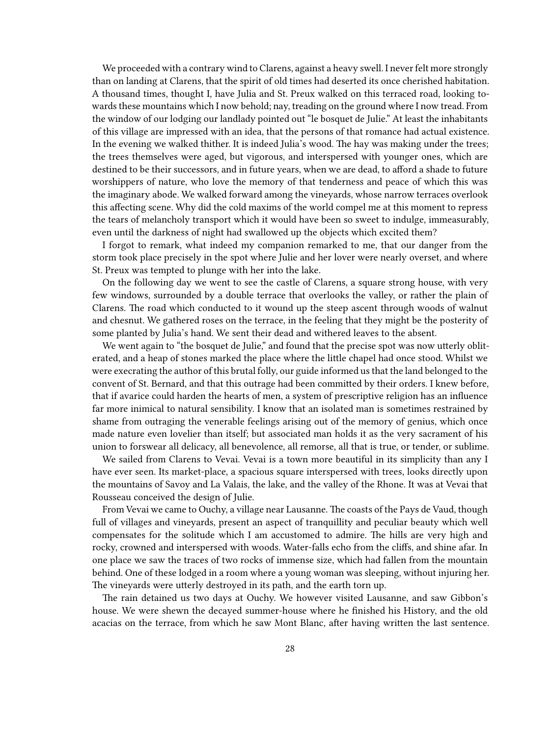We proceeded with a contrary wind to Clarens, against a heavy swell. I never felt more strongly than on landing at Clarens, that the spirit of old times had deserted its once cherished habitation. A thousand times, thought I, have Julia and St. Preux walked on this terraced road, looking towards these mountains which I now behold; nay, treading on the ground where I now tread. From the window of our lodging our landlady pointed out "le bosquet de Julie." At least the inhabitants of this village are impressed with an idea, that the persons of that romance had actual existence. In the evening we walked thither. It is indeed Julia's wood. The hay was making under the trees; the trees themselves were aged, but vigorous, and interspersed with younger ones, which are destined to be their successors, and in future years, when we are dead, to afford a shade to future worshippers of nature, who love the memory of that tenderness and peace of which this was the imaginary abode. We walked forward among the vineyards, whose narrow terraces overlook this affecting scene. Why did the cold maxims of the world compel me at this moment to repress the tears of melancholy transport which it would have been so sweet to indulge, immeasurably, even until the darkness of night had swallowed up the objects which excited them?

I forgot to remark, what indeed my companion remarked to me, that our danger from the storm took place precisely in the spot where Julie and her lover were nearly overset, and where St. Preux was tempted to plunge with her into the lake.

On the following day we went to see the castle of Clarens, a square strong house, with very few windows, surrounded by a double terrace that overlooks the valley, or rather the plain of Clarens. The road which conducted to it wound up the steep ascent through woods of walnut and chesnut. We gathered roses on the terrace, in the feeling that they might be the posterity of some planted by Julia's hand. We sent their dead and withered leaves to the absent.

We went again to "the bosquet de Julie," and found that the precise spot was now utterly obliterated, and a heap of stones marked the place where the little chapel had once stood. Whilst we were execrating the author of this brutal folly, our guide informed us that the land belonged to the convent of St. Bernard, and that this outrage had been committed by their orders. I knew before, that if avarice could harden the hearts of men, a system of prescriptive religion has an influence far more inimical to natural sensibility. I know that an isolated man is sometimes restrained by shame from outraging the venerable feelings arising out of the memory of genius, which once made nature even lovelier than itself; but associated man holds it as the very sacrament of his union to forswear all delicacy, all benevolence, all remorse, all that is true, or tender, or sublime.

We sailed from Clarens to Vevai. Vevai is a town more beautiful in its simplicity than any I have ever seen. Its market-place, a spacious square interspersed with trees, looks directly upon the mountains of Savoy and La Valais, the lake, and the valley of the Rhone. It was at Vevai that Rousseau conceived the design of Julie.

From Vevai we came to Ouchy, a village near Lausanne. The coasts of the Pays de Vaud, though full of villages and vineyards, present an aspect of tranquillity and peculiar beauty which well compensates for the solitude which I am accustomed to admire. The hills are very high and rocky, crowned and interspersed with woods. Water-falls echo from the cliffs, and shine afar. In one place we saw the traces of two rocks of immense size, which had fallen from the mountain behind. One of these lodged in a room where a young woman was sleeping, without injuring her. The vineyards were utterly destroyed in its path, and the earth torn up.

The rain detained us two days at Ouchy. We however visited Lausanne, and saw Gibbon's house. We were shewn the decayed summer-house where he finished his History, and the old acacias on the terrace, from which he saw Mont Blanc, after having written the last sentence.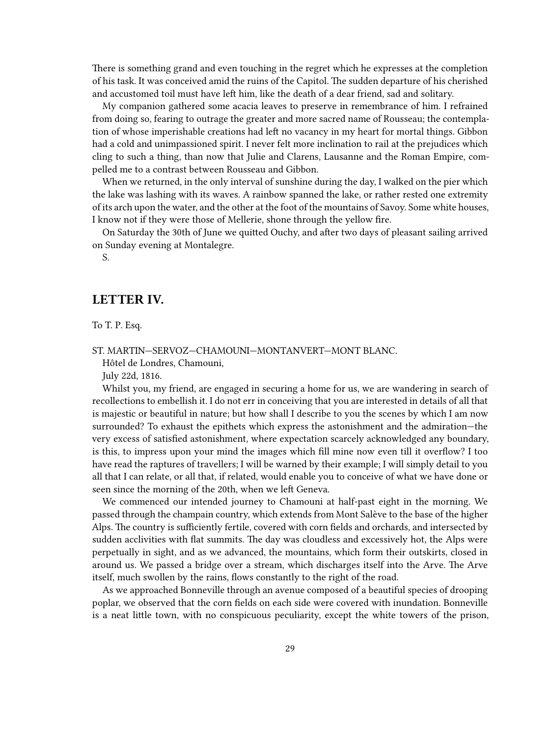There is something grand and even touching in the regret which he expresses at the completion of his task. It was conceived amid the ruins of the Capitol. The sudden departure of his cherished and accustomed toil must have left him, like the death of a dear friend, sad and solitary.

My companion gathered some acacia leaves to preserve in remembrance of him. I refrained from doing so, fearing to outrage the greater and more sacred name of Rousseau; the contemplation of whose imperishable creations had left no vacancy in my heart for mortal things. Gibbon had a cold and unimpassioned spirit. I never felt more inclination to rail at the prejudices which cling to such a thing, than now that Julie and Clarens, Lausanne and the Roman Empire, compelled me to a contrast between Rousseau and Gibbon.

When we returned, in the only interval of sunshine during the day, I walked on the pier which the lake was lashing with its waves. A rainbow spanned the lake, or rather rested one extremity of its arch upon the water, and the other at the foot of the mountains of Savoy. Some white houses, I know not if they were those of Mellerie, shone through the yellow fire.

On Saturday the 30th of June we quitted Ouchy, and after two days of pleasant sailing arrived on Sunday evening at Montalegre.

S.

### <span id="page-28-0"></span>**LETTER IV.**

To T. P. Esq.

ST. MARTIN—SERVOZ—CHAMOUNI—MONTANVERT—MONT BLANC.

Hôtel de Londres, Chamouni,

July 22d, 1816.

Whilst you, my friend, are engaged in securing a home for us, we are wandering in search of recollections to embellish it. I do not err in conceiving that you are interested in details of all that is majestic or beautiful in nature; but how shall I describe to you the scenes by which I am now surrounded? To exhaust the epithets which express the astonishment and the admiration—the very excess of satisfied astonishment, where expectation scarcely acknowledged any boundary, is this, to impress upon your mind the images which fill mine now even till it overflow? I too have read the raptures of travellers; I will be warned by their example; I will simply detail to you all that I can relate, or all that, if related, would enable you to conceive of what we have done or seen since the morning of the 20th, when we left Geneva.

We commenced our intended journey to Chamouni at half-past eight in the morning. We passed through the champain country, which extends from Mont Salève to the base of the higher Alps. The country is sufficiently fertile, covered with corn fields and orchards, and intersected by sudden acclivities with flat summits. The day was cloudless and excessively hot, the Alps were perpetually in sight, and as we advanced, the mountains, which form their outskirts, closed in around us. We passed a bridge over a stream, which discharges itself into the Arve. The Arve itself, much swollen by the rains, flows constantly to the right of the road.

As we approached Bonneville through an avenue composed of a beautiful species of drooping poplar, we observed that the corn fields on each side were covered with inundation. Bonneville is a neat little town, with no conspicuous peculiarity, except the white towers of the prison,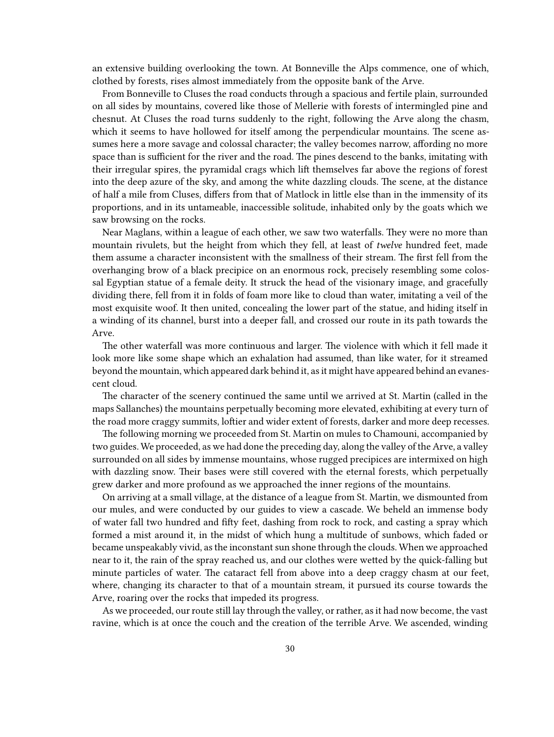an extensive building overlooking the town. At Bonneville the Alps commence, one of which, clothed by forests, rises almost immediately from the opposite bank of the Arve.

From Bonneville to Cluses the road conducts through a spacious and fertile plain, surrounded on all sides by mountains, covered like those of Mellerie with forests of intermingled pine and chesnut. At Cluses the road turns suddenly to the right, following the Arve along the chasm, which it seems to have hollowed for itself among the perpendicular mountains. The scene assumes here a more savage and colossal character; the valley becomes narrow, affording no more space than is sufficient for the river and the road. The pines descend to the banks, imitating with their irregular spires, the pyramidal crags which lift themselves far above the regions of forest into the deep azure of the sky, and among the white dazzling clouds. The scene, at the distance of half a mile from Cluses, differs from that of Matlock in little else than in the immensity of its proportions, and in its untameable, inaccessible solitude, inhabited only by the goats which we saw browsing on the rocks.

Near Maglans, within a league of each other, we saw two waterfalls. They were no more than mountain rivulets, but the height from which they fell, at least of *twelve* hundred feet, made them assume a character inconsistent with the smallness of their stream. The first fell from the overhanging brow of a black precipice on an enormous rock, precisely resembling some colossal Egyptian statue of a female deity. It struck the head of the visionary image, and gracefully dividing there, fell from it in folds of foam more like to cloud than water, imitating a veil of the most exquisite woof. It then united, concealing the lower part of the statue, and hiding itself in a winding of its channel, burst into a deeper fall, and crossed our route in its path towards the Arve.

The other waterfall was more continuous and larger. The violence with which it fell made it look more like some shape which an exhalation had assumed, than like water, for it streamed beyond the mountain, which appeared dark behind it, as it might have appeared behind an evanescent cloud.

The character of the scenery continued the same until we arrived at St. Martin (called in the maps Sallanches) the mountains perpetually becoming more elevated, exhibiting at every turn of the road more craggy summits, loftier and wider extent of forests, darker and more deep recesses.

The following morning we proceeded from St. Martin on mules to Chamouni, accompanied by two guides. We proceeded, as we had done the preceding day, along the valley of the Arve, a valley surrounded on all sides by immense mountains, whose rugged precipices are intermixed on high with dazzling snow. Their bases were still covered with the eternal forests, which perpetually grew darker and more profound as we approached the inner regions of the mountains.

On arriving at a small village, at the distance of a league from St. Martin, we dismounted from our mules, and were conducted by our guides to view a cascade. We beheld an immense body of water fall two hundred and fifty feet, dashing from rock to rock, and casting a spray which formed a mist around it, in the midst of which hung a multitude of sunbows, which faded or became unspeakably vivid, as the inconstant sun shone through the clouds. When we approached near to it, the rain of the spray reached us, and our clothes were wetted by the quick-falling but minute particles of water. The cataract fell from above into a deep craggy chasm at our feet, where, changing its character to that of a mountain stream, it pursued its course towards the Arve, roaring over the rocks that impeded its progress.

As we proceeded, our route still lay through the valley, or rather, as it had now become, the vast ravine, which is at once the couch and the creation of the terrible Arve. We ascended, winding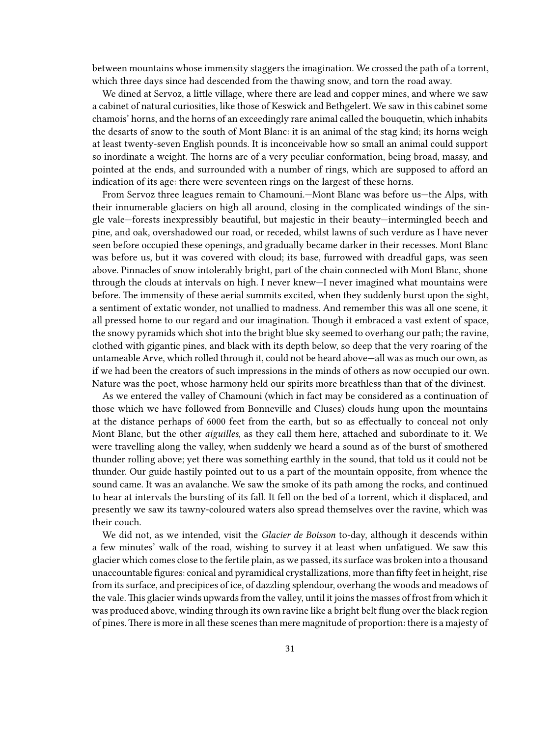between mountains whose immensity staggers the imagination. We crossed the path of a torrent, which three days since had descended from the thawing snow, and torn the road away.

We dined at Servoz, a little village, where there are lead and copper mines, and where we saw a cabinet of natural curiosities, like those of Keswick and Bethgelert. We saw in this cabinet some chamois' horns, and the horns of an exceedingly rare animal called the bouquetin, which inhabits the desarts of snow to the south of Mont Blanc: it is an animal of the stag kind; its horns weigh at least twenty-seven English pounds. It is inconceivable how so small an animal could support so inordinate a weight. The horns are of a very peculiar conformation, being broad, massy, and pointed at the ends, and surrounded with a number of rings, which are supposed to afford an indication of its age: there were seventeen rings on the largest of these horns.

From Servoz three leagues remain to Chamouni.—Mont Blanc was before us—the Alps, with their innumerable glaciers on high all around, closing in the complicated windings of the single vale—forests inexpressibly beautiful, but majestic in their beauty—intermingled beech and pine, and oak, overshadowed our road, or receded, whilst lawns of such verdure as I have never seen before occupied these openings, and gradually became darker in their recesses. Mont Blanc was before us, but it was covered with cloud; its base, furrowed with dreadful gaps, was seen above. Pinnacles of snow intolerably bright, part of the chain connected with Mont Blanc, shone through the clouds at intervals on high. I never knew—I never imagined what mountains were before. The immensity of these aerial summits excited, when they suddenly burst upon the sight, a sentiment of extatic wonder, not unallied to madness. And remember this was all one scene, it all pressed home to our regard and our imagination. Though it embraced a vast extent of space, the snowy pyramids which shot into the bright blue sky seemed to overhang our path; the ravine, clothed with gigantic pines, and black with its depth below, so deep that the very roaring of the untameable Arve, which rolled through it, could not be heard above—all was as much our own, as if we had been the creators of such impressions in the minds of others as now occupied our own. Nature was the poet, whose harmony held our spirits more breathless than that of the divinest.

As we entered the valley of Chamouni (which in fact may be considered as a continuation of those which we have followed from Bonneville and Cluses) clouds hung upon the mountains at the distance perhaps of 6000 feet from the earth, but so as effectually to conceal not only Mont Blanc, but the other *aiguilles*, as they call them here, attached and subordinate to it. We were travelling along the valley, when suddenly we heard a sound as of the burst of smothered thunder rolling above; yet there was something earthly in the sound, that told us it could not be thunder. Our guide hastily pointed out to us a part of the mountain opposite, from whence the sound came. It was an avalanche. We saw the smoke of its path among the rocks, and continued to hear at intervals the bursting of its fall. It fell on the bed of a torrent, which it displaced, and presently we saw its tawny-coloured waters also spread themselves over the ravine, which was their couch.

We did not, as we intended, visit the *Glacier de Boisson* to-day, although it descends within a few minutes' walk of the road, wishing to survey it at least when unfatigued. We saw this glacier which comes close to the fertile plain, as we passed, its surface was broken into a thousand unaccountable figures: conical and pyramidical crystallizations, more than fifty feet in height, rise from its surface, and precipices of ice, of dazzling splendour, overhang the woods and meadows of the vale.This glacier winds upwards from the valley, until it joins the masses of frost from which it was produced above, winding through its own ravine like a bright belt flung over the black region of pines. There is more in all these scenes than mere magnitude of proportion: there is a majesty of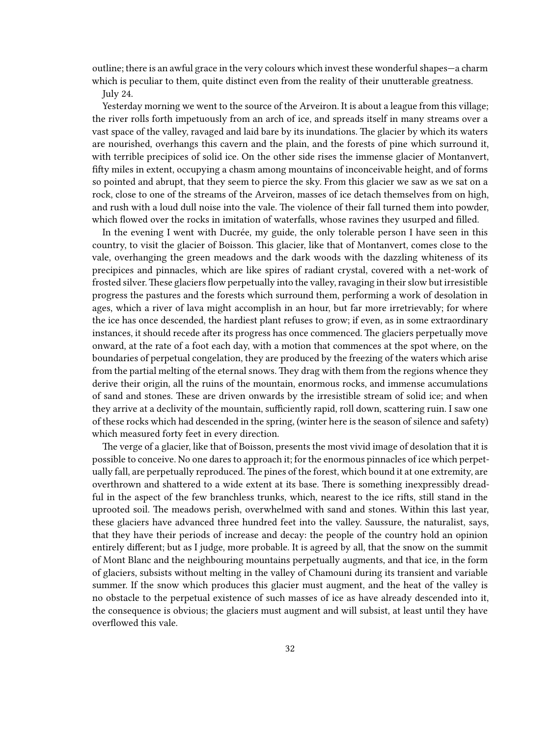outline; there is an awful grace in the very colours which invest these wonderful shapes—a charm which is peculiar to them, quite distinct even from the reality of their unutterable greatness.

July 24.

Yesterday morning we went to the source of the Arveiron. It is about a league from this village; the river rolls forth impetuously from an arch of ice, and spreads itself in many streams over a vast space of the valley, ravaged and laid bare by its inundations. The glacier by which its waters are nourished, overhangs this cavern and the plain, and the forests of pine which surround it, with terrible precipices of solid ice. On the other side rises the immense glacier of Montanvert, fifty miles in extent, occupying a chasm among mountains of inconceivable height, and of forms so pointed and abrupt, that they seem to pierce the sky. From this glacier we saw as we sat on a rock, close to one of the streams of the Arveiron, masses of ice detach themselves from on high, and rush with a loud dull noise into the vale. The violence of their fall turned them into powder, which flowed over the rocks in imitation of waterfalls, whose ravines they usurped and filled.

In the evening I went with Ducrée, my guide, the only tolerable person I have seen in this country, to visit the glacier of Boisson. This glacier, like that of Montanvert, comes close to the vale, overhanging the green meadows and the dark woods with the dazzling whiteness of its precipices and pinnacles, which are like spires of radiant crystal, covered with a net-work of frosted silver.These glaciers flow perpetually into the valley, ravaging in their slow but irresistible progress the pastures and the forests which surround them, performing a work of desolation in ages, which a river of lava might accomplish in an hour, but far more irretrievably; for where the ice has once descended, the hardiest plant refuses to grow; if even, as in some extraordinary instances, it should recede after its progress has once commenced. The glaciers perpetually move onward, at the rate of a foot each day, with a motion that commences at the spot where, on the boundaries of perpetual congelation, they are produced by the freezing of the waters which arise from the partial melting of the eternal snows. They drag with them from the regions whence they derive their origin, all the ruins of the mountain, enormous rocks, and immense accumulations of sand and stones. These are driven onwards by the irresistible stream of solid ice; and when they arrive at a declivity of the mountain, sufficiently rapid, roll down, scattering ruin. I saw one of these rocks which had descended in the spring, (winter here is the season of silence and safety) which measured forty feet in every direction.

The verge of a glacier, like that of Boisson, presents the most vivid image of desolation that it is possible to conceive. No one dares to approach it; for the enormous pinnacles of ice which perpetually fall, are perpetually reproduced. The pines of the forest, which bound it at one extremity, are overthrown and shattered to a wide extent at its base. There is something inexpressibly dreadful in the aspect of the few branchless trunks, which, nearest to the ice rifts, still stand in the uprooted soil. The meadows perish, overwhelmed with sand and stones. Within this last year, these glaciers have advanced three hundred feet into the valley. Saussure, the naturalist, says, that they have their periods of increase and decay: the people of the country hold an opinion entirely different; but as I judge, more probable. It is agreed by all, that the snow on the summit of Mont Blanc and the neighbouring mountains perpetually augments, and that ice, in the form of glaciers, subsists without melting in the valley of Chamouni during its transient and variable summer. If the snow which produces this glacier must augment, and the heat of the valley is no obstacle to the perpetual existence of such masses of ice as have already descended into it, the consequence is obvious; the glaciers must augment and will subsist, at least until they have overflowed this vale.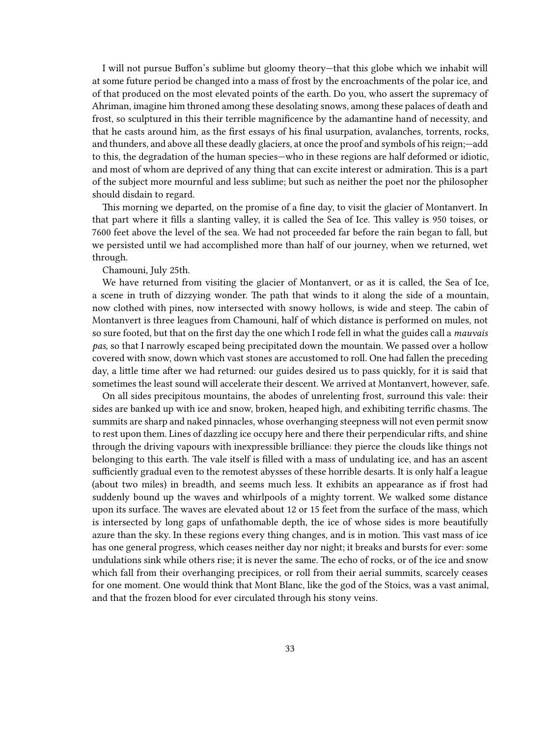I will not pursue Buffon's sublime but gloomy theory—that this globe which we inhabit will at some future period be changed into a mass of frost by the encroachments of the polar ice, and of that produced on the most elevated points of the earth. Do you, who assert the supremacy of Ahriman, imagine him throned among these desolating snows, among these palaces of death and frost, so sculptured in this their terrible magnificence by the adamantine hand of necessity, and that he casts around him, as the first essays of his final usurpation, avalanches, torrents, rocks, and thunders, and above all these deadly glaciers, at once the proof and symbols of his reign;—add to this, the degradation of the human species—who in these regions are half deformed or idiotic, and most of whom are deprived of any thing that can excite interest or admiration. This is a part of the subject more mournful and less sublime; but such as neither the poet nor the philosopher should disdain to regard.

This morning we departed, on the promise of a fine day, to visit the glacier of Montanvert. In that part where it fills a slanting valley, it is called the Sea of Ice. This valley is 950 toises, or 7600 feet above the level of the sea. We had not proceeded far before the rain began to fall, but we persisted until we had accomplished more than half of our journey, when we returned, wet through.

#### Chamouni, July 25th.

We have returned from visiting the glacier of Montanvert, or as it is called, the Sea of Ice, a scene in truth of dizzying wonder. The path that winds to it along the side of a mountain, now clothed with pines, now intersected with snowy hollows, is wide and steep. The cabin of Montanvert is three leagues from Chamouni, half of which distance is performed on mules, not so sure footed, but that on the first day the one which I rode fell in what the guides call a *mauvais pas*, so that I narrowly escaped being precipitated down the mountain. We passed over a hollow covered with snow, down which vast stones are accustomed to roll. One had fallen the preceding day, a little time after we had returned: our guides desired us to pass quickly, for it is said that sometimes the least sound will accelerate their descent. We arrived at Montanvert, however, safe.

On all sides precipitous mountains, the abodes of unrelenting frost, surround this vale: their sides are banked up with ice and snow, broken, heaped high, and exhibiting terrific chasms. The summits are sharp and naked pinnacles, whose overhanging steepness will not even permit snow to rest upon them. Lines of dazzling ice occupy here and there their perpendicular rifts, and shine through the driving vapours with inexpressible brilliance: they pierce the clouds like things not belonging to this earth. The vale itself is filled with a mass of undulating ice, and has an ascent sufficiently gradual even to the remotest abysses of these horrible desarts. It is only half a league (about two miles) in breadth, and seems much less. It exhibits an appearance as if frost had suddenly bound up the waves and whirlpools of a mighty torrent. We walked some distance upon its surface. The waves are elevated about 12 or 15 feet from the surface of the mass, which is intersected by long gaps of unfathomable depth, the ice of whose sides is more beautifully azure than the sky. In these regions every thing changes, and is in motion. This vast mass of ice has one general progress, which ceases neither day nor night; it breaks and bursts for ever: some undulations sink while others rise; it is never the same. The echo of rocks, or of the ice and snow which fall from their overhanging precipices, or roll from their aerial summits, scarcely ceases for one moment. One would think that Mont Blanc, like the god of the Stoics, was a vast animal, and that the frozen blood for ever circulated through his stony veins.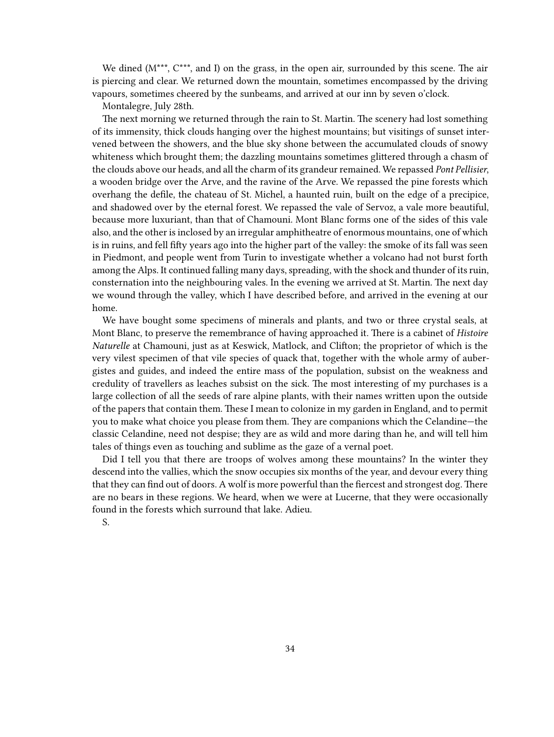We dined ( $M^{***}$ ,  $C^{***}$ , and I) on the grass, in the open air, surrounded by this scene. The air is piercing and clear. We returned down the mountain, sometimes encompassed by the driving vapours, sometimes cheered by the sunbeams, and arrived at our inn by seven o'clock.

Montalegre, July 28th.

The next morning we returned through the rain to St. Martin. The scenery had lost something of its immensity, thick clouds hanging over the highest mountains; but visitings of sunset intervened between the showers, and the blue sky shone between the accumulated clouds of snowy whiteness which brought them; the dazzling mountains sometimes glittered through a chasm of the clouds above our heads, and all the charm of its grandeur remained. We repassed *Pont Pellisier*, a wooden bridge over the Arve, and the ravine of the Arve. We repassed the pine forests which overhang the defile, the chateau of St. Michel, a haunted ruin, built on the edge of a precipice, and shadowed over by the eternal forest. We repassed the vale of Servoz, a vale more beautiful, because more luxuriant, than that of Chamouni. Mont Blanc forms one of the sides of this vale also, and the other is inclosed by an irregular amphitheatre of enormous mountains, one of which is in ruins, and fell fifty years ago into the higher part of the valley: the smoke of its fall was seen in Piedmont, and people went from Turin to investigate whether a volcano had not burst forth among the Alps. It continued falling many days, spreading, with the shock and thunder of its ruin, consternation into the neighbouring vales. In the evening we arrived at St. Martin. The next day we wound through the valley, which I have described before, and arrived in the evening at our home.

We have bought some specimens of minerals and plants, and two or three crystal seals, at Mont Blanc, to preserve the remembrance of having approached it. There is a cabinet of *Histoire Naturelle* at Chamouni, just as at Keswick, Matlock, and Clifton; the proprietor of which is the very vilest specimen of that vile species of quack that, together with the whole army of aubergistes and guides, and indeed the entire mass of the population, subsist on the weakness and credulity of travellers as leaches subsist on the sick. The most interesting of my purchases is a large collection of all the seeds of rare alpine plants, with their names written upon the outside of the papers that contain them. These I mean to colonize in my garden in England, and to permit you to make what choice you please from them. They are companions which the Celandine—the classic Celandine, need not despise; they are as wild and more daring than he, and will tell him tales of things even as touching and sublime as the gaze of a vernal poet.

Did I tell you that there are troops of wolves among these mountains? In the winter they descend into the vallies, which the snow occupies six months of the year, and devour every thing that they can find out of doors. A wolf is more powerful than the fiercest and strongest dog. There are no bears in these regions. We heard, when we were at Lucerne, that they were occasionally found in the forests which surround that lake. Adieu.

S.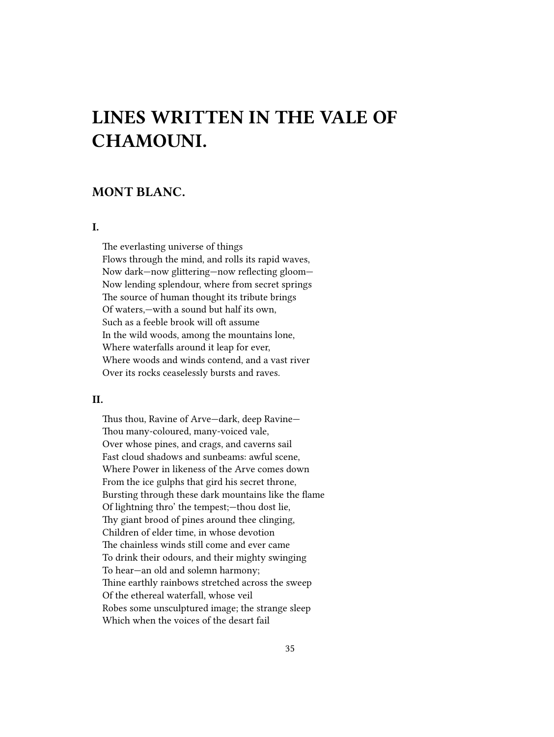# <span id="page-34-0"></span>**LINES WRITTEN IN THE VALE OF CHAMOUNI.**

### <span id="page-34-1"></span>**MONT BLANC.**

#### <span id="page-34-2"></span>**I.**

The everlasting universe of things Flows through the mind, and rolls its rapid waves, Now dark—now glittering—now reflecting gloom— Now lending splendour, where from secret springs The source of human thought its tribute brings Of waters,—with a sound but half its own, Such as a feeble brook will oft assume In the wild woods, among the mountains lone, Where waterfalls around it leap for ever, Where woods and winds contend, and a vast river Over its rocks ceaselessly bursts and raves.

#### <span id="page-34-3"></span>**II.**

Thus thou, Ravine of Arve—dark, deep Ravine— Thou many-coloured, many-voiced vale, Over whose pines, and crags, and caverns sail Fast cloud shadows and sunbeams: awful scene, Where Power in likeness of the Arve comes down From the ice gulphs that gird his secret throne, Bursting through these dark mountains like the flame Of lightning thro' the tempest;—thou dost lie, Thy giant brood of pines around thee clinging, Children of elder time, in whose devotion The chainless winds still come and ever came To drink their odours, and their mighty swinging To hear—an old and solemn harmony; Thine earthly rainbows stretched across the sweep Of the ethereal waterfall, whose veil Robes some unsculptured image; the strange sleep Which when the voices of the desart fail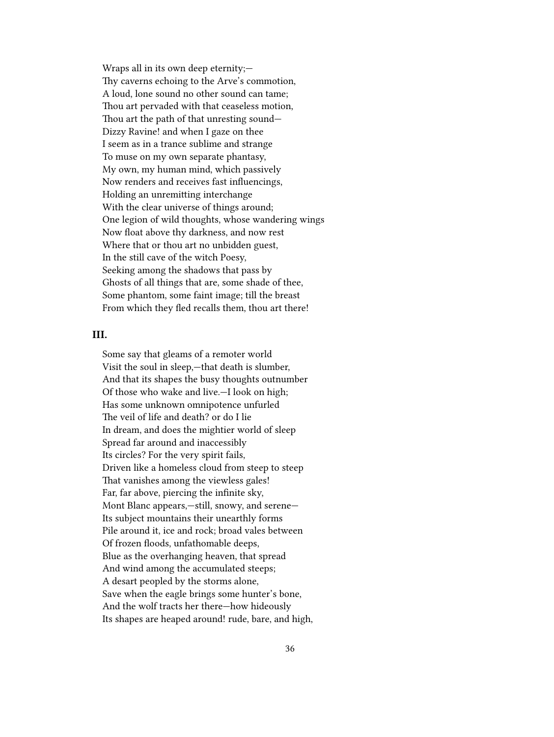Wraps all in its own deep eternity;— Thy caverns echoing to the Arve's commotion, A loud, lone sound no other sound can tame; Thou art pervaded with that ceaseless motion, Thou art the path of that unresting sound— Dizzy Ravine! and when I gaze on thee I seem as in a trance sublime and strange To muse on my own separate phantasy, My own, my human mind, which passively Now renders and receives fast influencings, Holding an unremitting interchange With the clear universe of things around; One legion of wild thoughts, whose wandering wings Now float above thy darkness, and now rest Where that or thou art no unbidden guest, In the still cave of the witch Poesy, Seeking among the shadows that pass by Ghosts of all things that are, some shade of thee, Some phantom, some faint image; till the breast From which they fled recalls them, thou art there!

#### <span id="page-35-0"></span>**III.**

Some say that gleams of a remoter world Visit the soul in sleep,—that death is slumber, And that its shapes the busy thoughts outnumber Of those who wake and live.—I look on high; Has some unknown omnipotence unfurled The veil of life and death? or do I lie In dream, and does the mightier world of sleep Spread far around and inaccessibly Its circles? For the very spirit fails, Driven like a homeless cloud from steep to steep That vanishes among the viewless gales! Far, far above, piercing the infinite sky, Mont Blanc appears,—still, snowy, and serene— Its subject mountains their unearthly forms Pile around it, ice and rock; broad vales between Of frozen floods, unfathomable deeps, Blue as the overhanging heaven, that spread And wind among the accumulated steeps; A desart peopled by the storms alone, Save when the eagle brings some hunter's bone, And the wolf tracts her there—how hideously Its shapes are heaped around! rude, bare, and high,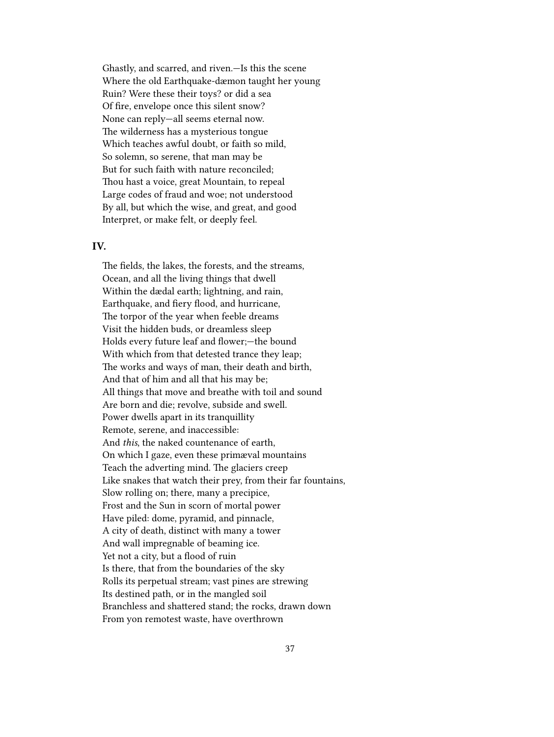Ghastly, and scarred, and riven.—Is this the scene Where the old Earthquake-dæmon taught her young Ruin? Were these their toys? or did a sea Of fire, envelope once this silent snow? None can reply—all seems eternal now. The wilderness has a mysterious tongue Which teaches awful doubt, or faith so mild, So solemn, so serene, that man may be But for such faith with nature reconciled; Thou hast a voice, great Mountain, to repeal Large codes of fraud and woe; not understood By all, but which the wise, and great, and good Interpret, or make felt, or deeply feel.

#### <span id="page-36-0"></span>**IV.**

The fields, the lakes, the forests, and the streams, Ocean, and all the living things that dwell Within the dædal earth; lightning, and rain, Earthquake, and fiery flood, and hurricane, The torpor of the year when feeble dreams Visit the hidden buds, or dreamless sleep Holds every future leaf and flower;—the bound With which from that detested trance they leap; The works and ways of man, their death and birth, And that of him and all that his may be; All things that move and breathe with toil and sound Are born and die; revolve, subside and swell. Power dwells apart in its tranquillity Remote, serene, and inaccessible: And *this*, the naked countenance of earth, On which I gaze, even these primæval mountains Teach the adverting mind. The glaciers creep Like snakes that watch their prey, from their far fountains, Slow rolling on; there, many a precipice, Frost and the Sun in scorn of mortal power Have piled: dome, pyramid, and pinnacle, A city of death, distinct with many a tower And wall impregnable of beaming ice. Yet not a city, but a flood of ruin Is there, that from the boundaries of the sky Rolls its perpetual stream; vast pines are strewing Its destined path, or in the mangled soil Branchless and shattered stand; the rocks, drawn down From yon remotest waste, have overthrown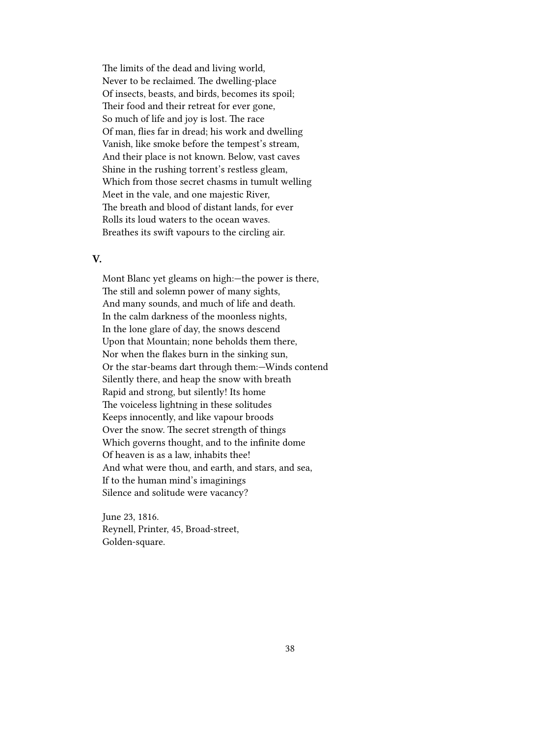The limits of the dead and living world, Never to be reclaimed. The dwelling-place Of insects, beasts, and birds, becomes its spoil; Their food and their retreat for ever gone, So much of life and joy is lost. The race Of man, flies far in dread; his work and dwelling Vanish, like smoke before the tempest's stream, And their place is not known. Below, vast caves Shine in the rushing torrent's restless gleam, Which from those secret chasms in tumult welling Meet in the vale, and one majestic River, The breath and blood of distant lands, for ever Rolls its loud waters to the ocean waves. Breathes its swift vapours to the circling air.

#### <span id="page-37-0"></span>**V.**

Mont Blanc yet gleams on high:—the power is there, The still and solemn power of many sights, And many sounds, and much of life and death. In the calm darkness of the moonless nights, In the lone glare of day, the snows descend Upon that Mountain; none beholds them there, Nor when the flakes burn in the sinking sun, Or the star-beams dart through them:—Winds contend Silently there, and heap the snow with breath Rapid and strong, but silently! Its home The voiceless lightning in these solitudes Keeps innocently, and like vapour broods Over the snow. The secret strength of things Which governs thought, and to the infinite dome Of heaven is as a law, inhabits thee! And what were thou, and earth, and stars, and sea, If to the human mind's imaginings Silence and solitude were vacancy?

June 23, 1816. Reynell, Printer, 45, Broad-street, Golden-square.